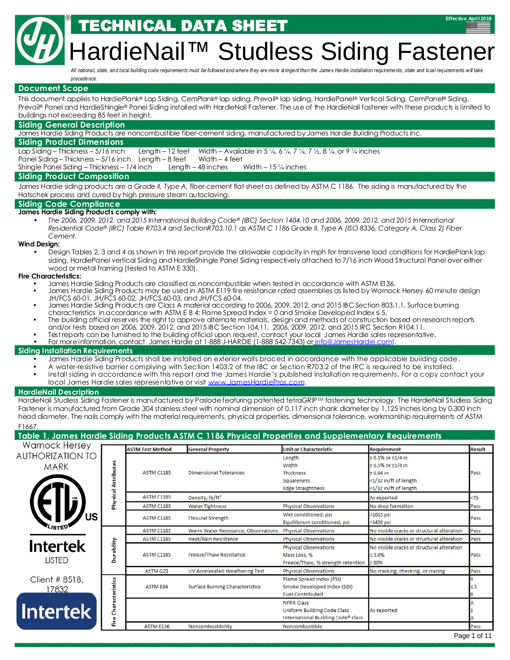## IICAL DATA SHEET

# dieNail™ Studless Siding Fastene

*All national, state, and local building code requirements must be followed and where they are more stringent than the James Hardie installation requirements, state and local requirements will take precedence.*

#### **Document Scope**

This document applies to HardiePlank® Lap Siding, CemPlank® lap siding, Prevail® lap siding, HardiePanel® Vertical Siding, CemPanel® Siding, Prevail® Panel and HardieShingle® Panel Siding installed with HardieNail Fastener. The use of the HardieNail fastener with these products is limited to buildings not exceeding 85 feet in height.

#### **Siding General Description**

®

James Hardie Siding Products are noncombustible fiber-cement siding, manufactured by James Hardie Building Products Inc.

#### **Siding Product Dimensions**

Lap Siding – Thickness – 5/16 inch Length – 12 feet Width – Available in 5 ¼, 6 ¼, 7 ¼, 7 ½, 8 ¼, or 9 ¼ inches Panel Siding – Thickness – 5/16 inch Length – 8 feet Width – 4 feet

Shingle Panel Siding – Thickness – 1/4 inch Length – 48 inches Width – 15 ¼ inches

#### **Siding Product Composition**

James Hardie siding products are a *Grade II, Type A,* fiber-cement flat sheet as defined by ASTM C 1186. The siding is manufactured by the Hatschek process and cured by high pressure steam autoclaving.

#### **Siding Code Compliance**

#### **James Hardie Siding Products comply with:**

 *The 2006, 2009, 2012, and 2015 International Building Code*® *(IBC) Section 1404.10 and 2006, 2009, 2012, and 2015 International Residential Code*® *(IRC) Table R703.4 and SectionR703.10.1 as ASTM C 1186 Grade II, Type A (ISO 8336, Category A, Class 2) Fiber Cement.*

#### **Wind Design:**

 Design Tables 2, 3 and 4 as shown in this report provide the allowable capacity in mph for transverse load conditions for HardiePlank lap siding, HardiePanel vertical Siding and HardieShingle Panel Siding respectively attached to 7/16 inch Wood Structural Panel over either wood or metal framing (tested to ASTM E 330).

#### **Fire Characteristics:**

- James Hardie Siding Products are classified as noncombustible when tested in accordance with ASTM E136.
- James Hardie Siding Products may be used in ASTM E119 fire resistance rated assemblies as listed by Warnock Hersey 60 minute design JH/FCS 60-01, JH/FCS 60-02, JH/FCS 60-03, and JH/FCS 60-04.
- James Hardie Siding Products are Class A material according to 2006, 2009, 2012, and 2015 IBC Section 803.1.1. Surface burning characteristics in accordance with ASTM E 8 4: Flame Spread Index = 0 and Smoke Developed Index  $\leq 5$ .
- The building official reserves the right to approve alternate materials, design and methods of construction based on research reports and/or tests based on 2006, 2009, 2012, and 2015 IBC Section 104.11, 2006, 2009, 2012, and 2015 IRC Section R104.11.
- Test reports can be furnished to the building official upon request, contact your local James Hardie sales representative.
- For more information, contact James Hardie at 1-888 J-HARDIE (1-888 542-7343) or info@JamesHardie.com).

#### **Siding Installation Requirements**

- James Hardie Siding Products shall be installed on exterior walls braced in accordance with the applicable building code.
- A water-resistive barrier complying with Section 1403.2 of the IBC or Section R703.2 of the IRC is required to be installed.
- Install siding in accordance with this report and the James Hardie's published installation requirements. For a copy contact your local James Hardie sales representative or visit www.JamesHardiePros.com.

#### **HardieNail Description**

HardieNail Studless Siding Fastener is manufactured by Paslode featuring patented tetraGRIP™ fastening technology. The HardieNail Studless Siding Fastener is manufactured from Grade 304 stainless steel with nominal dimension of 0.117 inch shank diameter by 1.125 inches long by 0.300 inch head diameter. The nails comply with the material requirements, physical properties, dimensional tolerance, workmanship requirements of ASTM

#### F1667.

#### **Table 1, James Hardie Siding Products ASTM C 1186 Physical Properties and Supplementary Requirements**

| <b>Warnock Hersey</b>            |                 | <b>ASTM Test Method</b> | <b>General Property</b>                | <b>Unit or Characteristic</b>                                                          | <b>Requirement</b>                                                                                               | <b>Result</b> |
|----------------------------------|-----------------|-------------------------|----------------------------------------|----------------------------------------------------------------------------------------|------------------------------------------------------------------------------------------------------------------|---------------|
| <b>AUTHORIZATION TO</b><br>MARK  | Attributes      | <b>ASTM C1185</b>       | <b>Dimensional Tolerances</b>          | Length<br>Width<br><b>Thickness</b><br>Squareness<br><b>Edge Straightness</b>          | $± 0.5%$ or $±1/4$ in<br>$± 0.5\%$ or $±1/4$ in<br>$± 0.04$ in<br><1/32 in/ft of length<br><1/32 in/ft of length | Pass          |
|                                  | <b>Physical</b> | <b>ASTM C1185</b>       | Density, lb/ft <sup>3</sup>            |                                                                                        | As reported                                                                                                      | $75$          |
|                                  |                 | <b>ASTM C1185</b>       | <b>Water Tightness</b>                 | <b>Physical Observations</b>                                                           | No drop formation                                                                                                | Pass          |
| <b>JS</b>                        |                 | <b>ASTM C1185</b>       | <b>Flexural Strength</b>               | Wet conditioned, psi<br>Equilibrium conditioned, psi                                   | >1015 psi<br>>1450 psi                                                                                           | Pass          |
|                                  |                 | <b>ASTM C1185</b>       | Warm Water Resistance, Observations    | <b>Physical Observations</b>                                                           | No visible cracks or structural alteration                                                                       | Pass          |
|                                  |                 | <b>ASTM C1185</b>       | <b>Heat/Rain Resistance</b>            | <b>Physical Observations</b>                                                           | No visible cracks or structural alteration                                                                       | Pass          |
| <b>Intertek</b><br><b>LISTED</b> | Durability      | <b>ASTM C1185</b>       | Freeze/Thaw Resistance                 | <b>Physical Observations</b><br>Mass Loss, %<br>Freeze/Thaw, % strength retention      | No visible cracks or structural alteration<br>$\leq 3.0\%$<br>$\geq 80\%$                                        | Pass          |
|                                  |                 | <b>ASTM G23</b>         | <b>UV Accelerated Weathering Test</b>  | <b>Physical Observations</b>                                                           | No cracking, checking, or crazing                                                                                | Pass          |
| Client # 8518,<br>17832          | Characteristics | <b>ASTM E84</b>         | <b>Surface Burning Characteristics</b> | Flame Spread Index (FSI)<br>Smoke Developed Index (SDI)<br><b>Fuel Contributed</b>     |                                                                                                                  | $\leq$ 5      |
| <b>Intertek</b>                  | å               |                         |                                        | <b>NFPA Class</b><br>Uniform Building Code Class<br>International Building Code® class | As reported                                                                                                      |               |
|                                  |                 | <b>ASTM E136</b>        | Noncombustibility                      | Noncombustible                                                                         |                                                                                                                  | Pass          |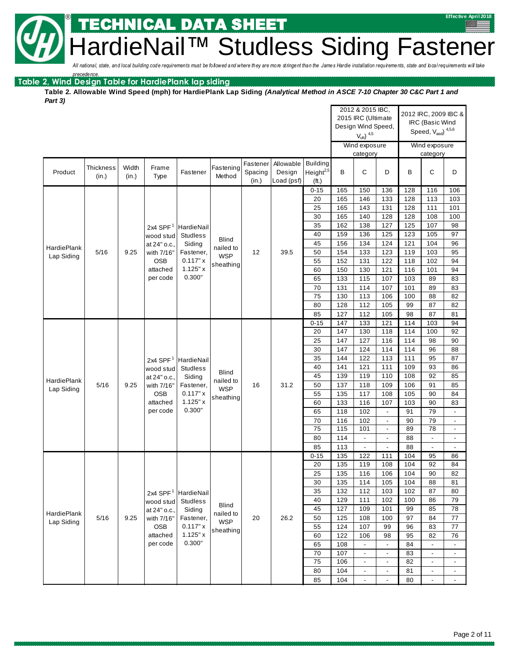IICAL DATA SHEET

eNail<sup>™</sup> Studless Siding Fastener

All national, state, and local building code requirements must be followed and where they are more stringent than the James Hardie installation requirements, state and local requirements will take

**Table 2, Wind Design Table for HardiePlank lap siding** *precedence.*

®

**Table 2. Allowable Wind Speed (mph) for HardiePlank Lap Siding** *(Analytical Method in ASCE 7-10 Chapter 30 C&C Part 1 and Part 3)*

|                    |                                                           |       |                 |                       |                                                      |          |            |                   |            | 2012 & 2015 IBC,<br>2015 IRC (Ultimate |                          |            | 2012 IRC, 2009 IBC &                 |                          |
|--------------------|-----------------------------------------------------------|-------|-----------------|-----------------------|------------------------------------------------------|----------|------------|-------------------|------------|----------------------------------------|--------------------------|------------|--------------------------------------|--------------------------|
|                    |                                                           |       |                 |                       |                                                      |          |            |                   |            | Design Wind Speed,                     |                          |            | IRC (Basic Wind                      |                          |
|                    |                                                           |       |                 |                       |                                                      |          |            |                   |            | $V_{ult}$ ) $4,5$                      |                          |            | Speed, $V_{\text{asd}}$ ) $^{4,5,6}$ |                          |
|                    |                                                           |       |                 |                       |                                                      |          |            |                   |            | Wind exposure                          |                          |            | Wind exposure                        |                          |
|                    |                                                           |       |                 |                       |                                                      |          |            |                   |            | category                               |                          |            | category                             |                          |
|                    |                                                           |       |                 |                       |                                                      | Fastener | Allowable  | <b>Building</b>   |            |                                        |                          |            |                                      |                          |
| Product            | <b>Thickness</b>                                          | Width | Frame           | Fastener              | Fastening<br>Method                                  | Spacing  | Design     | Height $2,5$      | B          | С                                      | D                        | B          | $\mathsf C$                          | D                        |
|                    | (in.)                                                     | (in.) | Type            |                       |                                                      | (in.)    | Load (psf) | (f <sub>t</sub> ) |            |                                        |                          |            |                                      |                          |
|                    |                                                           |       |                 |                       |                                                      |          |            | $0 - 15$          | 165        | 150                                    | 136                      | 128        | 116                                  | 106                      |
|                    |                                                           |       |                 |                       |                                                      |          |            | 20                | 165        | 146                                    | 133                      | 128        | 113                                  | 103                      |
|                    |                                                           |       |                 |                       |                                                      |          |            | 25                | 165        | 143                                    | 131                      | 128        | 111                                  | 101                      |
|                    |                                                           |       |                 |                       |                                                      |          |            | 30                | 165        | 140                                    | 128                      | 128        | 108                                  | 100                      |
|                    |                                                           |       | 2x4 SPF $1$     | HardieNail            |                                                      |          |            | 35                | 162        | 138                                    | 127                      | 125        | 107                                  | 98                       |
|                    |                                                           |       | wood stud       | <b>Studless</b>       | <b>Blind</b>                                         |          |            | 40                | 159        | 136                                    | 125                      | 123        | 105                                  | 97                       |
| <b>HardiePlank</b> |                                                           |       | at 24" o.c.,    | Siding                | nailed to                                            |          |            | 45                | 156        | 134                                    | 124                      | 121        | 104                                  | 96                       |
| Lap Siding         | 5/16                                                      | 9.25  | with 7/16"      | Fastener,             | <b>WSP</b>                                           | 12       | 39.5       | 50                | 154        | 133                                    | 123                      | 119        | 103                                  | 95                       |
|                    |                                                           |       | <b>OSB</b>      | 0.117" x              | sheathing                                            |          |            | 55                | 152        | 131                                    | 122                      | 118        | 102                                  | 94                       |
|                    |                                                           |       | attached        | 1.125" x<br>0.300"    |                                                      |          |            | 60                | 150        | 130                                    | 121                      | 116        | 101                                  | 94                       |
|                    |                                                           |       | per code        |                       |                                                      |          |            | 65                | 133        | 115                                    | 107                      | 103        | 89                                   | 83                       |
|                    |                                                           |       |                 |                       |                                                      |          |            | 70<br>75          | 131<br>130 | 114<br>113                             | 107<br>106               | 101<br>100 | 89<br>88                             | 83<br>82                 |
|                    |                                                           |       |                 |                       |                                                      |          |            | 80                | 128        | 112                                    | 105                      | 99         | 87                                   | 82                       |
|                    |                                                           |       |                 |                       |                                                      |          |            | 85                | 127        | 112                                    | 105                      | 98         | 87                                   | 81                       |
|                    |                                                           |       |                 |                       |                                                      |          |            | $0 - 15$          | 147        | 133                                    | 121                      | 114        | 103                                  | 94                       |
|                    |                                                           |       |                 |                       |                                                      |          |            | 20                | 147        | 130                                    | 118                      | 114        | 100                                  | 92                       |
|                    |                                                           |       |                 |                       |                                                      |          |            | 25                | 147        | 127                                    | 116                      | 114        | 98                                   | 90                       |
|                    |                                                           |       |                 |                       | 30                                                   | 147      | 124        | 114               | 114        | 96                                     | 88                       |            |                                      |                          |
|                    |                                                           |       |                 |                       |                                                      |          |            | 35                | 144        | 122                                    | 113                      | 111        | 95                                   | 87                       |
|                    | 2x4 SPF $1$<br>HardieNail<br>wood stud<br><b>Studless</b> |       |                 |                       | 40                                                   | 141      | 121        | 111               | 109        | 93                                     | 86                       |            |                                      |                          |
|                    |                                                           |       | at 24" o.c.,    | Siding                | <b>Blind</b>                                         |          |            | 45                | 139        | 119                                    | 110                      | 108        | 92                                   | 85                       |
| <b>HardiePlank</b> | 5/16                                                      | 9.25  | with 7/16"      | Fastener,             | nailed to                                            | 16       | 31.2       | 50                | 137        | 118                                    | 109                      | 106        | 91                                   | 85                       |
| Lap Siding         |                                                           |       | <b>OSB</b>      | 0.117" x              | <b>WSP</b>                                           |          |            | 55                | 135        | 117                                    | 108                      | 105        | 90                                   | 84                       |
|                    |                                                           |       | attached        | 1.125" x              | sheathing                                            |          |            | 60                | 133        | 116                                    | 107                      | 103        | 90                                   | 83                       |
|                    |                                                           |       | per code        | 0.300"                |                                                      |          |            | 65                | 118        | 102                                    | $\overline{\phantom{a}}$ | 91         | 79                                   | $\overline{\phantom{a}}$ |
|                    |                                                           |       |                 |                       |                                                      |          |            | 70                | 116        | 102                                    | $\overline{\phantom{a}}$ | 90         | 79                                   | $\overline{\phantom{a}}$ |
|                    |                                                           |       |                 |                       |                                                      |          |            | 75                | 115        | 101                                    | $\overline{\phantom{a}}$ | 89         | 78                                   | $\overline{\phantom{a}}$ |
|                    |                                                           |       |                 |                       |                                                      |          |            | 80                | 114        | $\overline{\phantom{a}}$               | $\overline{\phantom{a}}$ | 88         | $\overline{\phantom{a}}$             | $\overline{\phantom{a}}$ |
|                    |                                                           |       |                 |                       |                                                      |          |            | 85                | 113        | $\blacksquare$                         | $\blacksquare$           | 88         | $\blacksquare$                       | $\overline{\phantom{a}}$ |
|                    |                                                           |       |                 |                       |                                                      |          |            | $0 - 15$          | 135        | 122                                    | 111                      | 104        | 95                                   | 86                       |
|                    |                                                           |       |                 |                       |                                                      |          |            | 20                | 135        | 119                                    | 108                      | 104        | 92                                   | 84                       |
|                    |                                                           |       |                 |                       |                                                      |          |            | 25                | 135        | 116                                    | 106                      | 104        | 90                                   | 82                       |
|                    |                                                           |       |                 |                       |                                                      |          |            | 30                | 135        | 114                                    | 105                      | 104        | 88                                   | 81                       |
|                    |                                                           |       | 2x4 SPF $1$     | HardieNail            |                                                      |          |            | 35                | 132        | 112                                    | 103                      | 102        | 87                                   | 80                       |
|                    |                                                           |       | wood stud       | <b>Studiess</b>       |                                                      |          |            | 40                | 129        | 111                                    | 102                      | 100        | 86                                   | 79                       |
| <b>HardiePlank</b> |                                                           |       | at 24" o.c.,    | Siding                | <b>Blind</b><br>nailed to<br><b>WSP</b><br>sheathing |          |            | 45                | 127        | 109                                    | 101                      | 99         | 85                                   | 78                       |
| Lap Siding         | 5/16                                                      | 9.25  | with 7/16"      | Fastener,<br>0.117" x |                                                      | 20       | 26.2       | 50                | 125        | 108                                    | 100                      | 97         | 84                                   | $77\,$                   |
|                    |                                                           |       | OSB<br>attached | 1.125" x              |                                                      |          |            | 55<br>60          | 124<br>122 | 107<br>106                             | 99<br>98                 | 96<br>95   | 83<br>82                             | 77<br>76                 |
|                    |                                                           |       | per code        | 0.300"                |                                                      |          |            |                   | 108        | $\overline{\phantom{a}}$               | $\overline{\phantom{a}}$ | 84         | $\blacksquare$                       | $\overline{\phantom{a}}$ |
|                    |                                                           |       |                 |                       |                                                      |          |            | 65<br>70          | 107        | $\overline{\phantom{a}}$               | $\overline{\phantom{a}}$ | 83         | $\overline{\phantom{a}}$             | $\overline{a}$           |
|                    |                                                           |       |                 |                       |                                                      |          |            | 75                | 106        | $\overline{\phantom{a}}$               | $\overline{\phantom{a}}$ | 82         | $\overline{\phantom{a}}$             | $\overline{\phantom{a}}$ |
|                    |                                                           |       |                 |                       |                                                      |          |            | 80                | 104        | $\overline{\phantom{a}}$               | $\overline{\phantom{a}}$ | 81         | $\overline{\phantom{a}}$             |                          |
|                    |                                                           |       |                 |                       |                                                      |          |            | 85                | 104        | $\overline{\phantom{a}}$               | $\blacksquare$           | 80         | $\overline{a}$                       | $\blacksquare$           |
|                    |                                                           |       |                 |                       |                                                      |          |            |                   |            |                                        |                          |            |                                      |                          |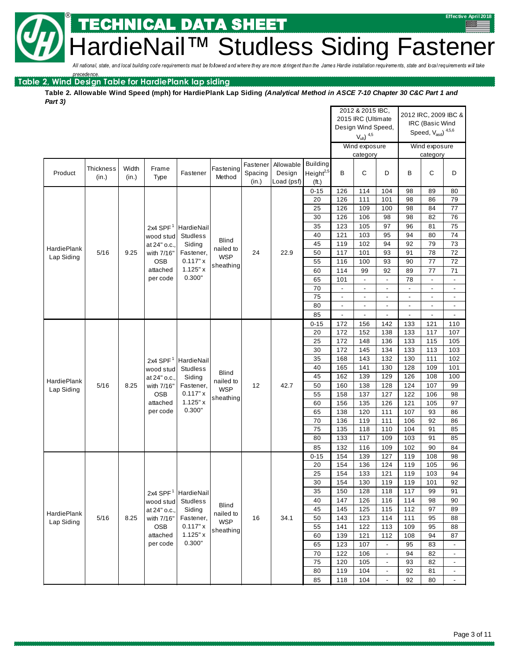NICAL DATA SHEET

eNail<sup>™</sup> Studless Siding Fastener

All national, state, and local building code requirements must be followed and where they are more stringent than the James Hardie installation requirements, state and local requirements will take

**Table 2, Wind Design Table for HardiePlank lap siding** *precedence.*

®

**Table 2. Allowable Wind Speed (mph) for HardiePlank Lap Siding** *(Analytical Method in ASCE 7-10 Chapter 30 C&C Part 1 and Part 3)*

|                    |                           |       |                 |                                                            |                           |          |            |                       |                       | 2012 & 2015 IBC,<br>2015 IRC (Ultimate |                                 |                          | 2012 IRC, 2009 IBC &                 |                                 |
|--------------------|---------------------------|-------|-----------------|------------------------------------------------------------|---------------------------|----------|------------|-----------------------|-----------------------|----------------------------------------|---------------------------------|--------------------------|--------------------------------------|---------------------------------|
|                    |                           |       |                 |                                                            |                           |          |            |                       |                       | Design Wind Speed,                     |                                 |                          | IRC (Basic Wind                      |                                 |
|                    |                           |       |                 |                                                            |                           |          |            |                       |                       | $V_{ult}$ ) $4,5$                      |                                 |                          | Speed, $V_{\text{asd}}$ ) $^{4,5,6}$ |                                 |
|                    |                           |       |                 |                                                            |                           |          |            |                       |                       | Wind exposure                          |                                 |                          | Wind exposure                        |                                 |
|                    |                           |       |                 |                                                            |                           |          |            |                       |                       | category                               |                                 |                          | category                             |                                 |
|                    | <b>Thickness</b>          | Width | Frame           |                                                            | Fastening                 | Fastener | Allowable  | Building              |                       |                                        |                                 |                          |                                      |                                 |
| Product            | (in.)                     | (in.) | Type            | Fastener                                                   | Method                    | Spacing  | Design     | Height <sup>2,5</sup> | B                     | $\mathsf C$                            | D                               | B                        | $\mathsf{C}$                         | D                               |
|                    |                           |       |                 |                                                            |                           | (in.)    | Load (psf) | (ft.)                 |                       |                                        |                                 |                          |                                      |                                 |
|                    |                           |       |                 |                                                            |                           |          |            | $0 - 15$              | 126                   | 114                                    | 104                             | 98                       | 89                                   | 80                              |
|                    |                           |       |                 |                                                            |                           |          |            | 20<br>25              | 126<br>126            | 111                                    | 101                             | 98<br>98                 | 86<br>84                             | 79<br>77                        |
|                    |                           |       |                 |                                                            |                           |          |            | 30                    | 126                   | 109<br>106                             | 100<br>98                       | 98                       | 82                                   | 76                              |
|                    |                           |       | 2x4 SPF $1$     | HardieNail                                                 |                           |          |            | 35                    | 123                   | 105                                    | 97                              | 96                       | 81                                   | 75                              |
|                    |                           |       | wood stud       | <b>Studless</b>                                            |                           |          |            | 40                    | 121                   | 103                                    | 95                              | 94                       | 80                                   | $\overline{74}$                 |
|                    |                           |       | at 24" o.c.,    | Siding                                                     | <b>Blind</b>              |          |            | 45                    | 119                   | 102                                    | 94                              | 92                       | 79                                   | 73                              |
| <b>HardiePlank</b> | 5/16                      | 9.25  | with 7/16"      | Fastener,                                                  | nailed to<br><b>WSP</b>   | 24       | 22.9       | 50                    | 117                   | 101                                    | 93                              | 91                       | 78                                   | 72                              |
| Lap Siding         |                           |       | <b>OSB</b>      | 0.117"x                                                    | sheathing                 |          |            | 55                    | 116                   | 100                                    | 93                              | 90                       | 77                                   | 72                              |
|                    |                           |       | attached        | 1.125"x                                                    |                           |          |            | 60                    | 114                   | 99                                     | 92                              | 89                       | 77                                   | $71$                            |
|                    |                           |       | per code        | 0.300"                                                     |                           |          |            | 65                    | 101                   | $\overline{\phantom{a}}$               | $\overline{\phantom{a}}$        | 78                       | $\blacksquare$                       | $\blacksquare$                  |
|                    |                           |       |                 |                                                            |                           |          |            | 70                    | $\overline{a}$        | $\overline{\phantom{a}}$               | $\overline{\phantom{m}}$        | $\overline{\phantom{a}}$ | $\overline{\phantom{a}}$             | $\overline{\phantom{a}}$        |
|                    |                           |       |                 |                                                            |                           |          |            | 75                    | $\overline{a}$        |                                        |                                 |                          | $\overline{\phantom{a}}$             | $\overline{\phantom{a}}$        |
|                    |                           |       |                 |                                                            |                           |          |            | 80                    | $\frac{1}{2}$         | ÷,                                     | ÷,                              | $\blacksquare$<br>ä,     | $\blacksquare$                       | $\overline{\phantom{a}}$        |
|                    |                           |       |                 |                                                            |                           |          |            | 85<br>$0 - 15$        | $\overline{a}$<br>172 | $\blacksquare$<br>156                  | $\overline{\phantom{a}}$<br>142 | 133                      | $\overline{\phantom{a}}$<br>121      | $\overline{\phantom{a}}$<br>110 |
|                    |                           |       |                 |                                                            |                           |          |            | 20                    | 172                   | 152                                    | 138                             | 133                      | 117                                  | 107                             |
|                    |                           |       |                 |                                                            |                           |          |            | 25                    | 172                   | 148                                    | 136                             | 133                      | 115                                  | 105                             |
|                    |                           |       |                 |                                                            |                           |          | 30         | 172                   | 145                   | 134                                    | 133                             | 113                      | 103                                  |                                 |
|                    | 2x4 SPF $1$<br>HardieNail |       |                 |                                                            | 35                        | 168      | 143        | 132                   | 130                   | 111                                    | 102                             |                          |                                      |                                 |
|                    |                           |       | wood stud       | <b>Studless</b>                                            |                           |          |            | 40                    | 165                   | 141                                    | 130                             | 128                      | 109                                  | 101                             |
| <b>HardiePlank</b> |                           |       | at 24" o.c.,    | Siding                                                     | <b>Blind</b><br>nailed to |          |            | 45                    | 162                   | 139                                    | 129                             | 126                      | 108                                  | 100                             |
| Lap Siding         | 5/16                      | 8.25  | with 7/16"      | Fastener,                                                  | <b>WSP</b>                | 12       | 42.7       | 50                    | 160                   | 138                                    | 128                             | 124                      | 107                                  | 99                              |
|                    |                           |       | OSB             | 0.117"x                                                    | sheathing                 |          |            | 55                    | 158                   | 137                                    | 127                             | 122                      | 106                                  | 98                              |
|                    |                           |       | attached        | 1.125"x<br>0.300"                                          |                           |          |            | 60                    | 156                   | 135                                    | 126                             | 121                      | 105                                  | 97                              |
|                    |                           |       | per code        |                                                            |                           |          |            | 65                    | 138                   | 120                                    | 111                             | 107                      | 93                                   | 86                              |
|                    |                           |       |                 |                                                            |                           |          |            | 70<br>75              | 136<br>135            | 119<br>118                             | 111<br>110                      | 106<br>104               | 92<br>91                             | 86<br>85                        |
|                    |                           |       |                 |                                                            |                           |          |            | 80                    | 133                   | 117                                    | 109                             | 103                      | 91                                   | 85                              |
|                    |                           |       |                 |                                                            |                           |          |            | 85                    | 132                   | 116                                    | 109                             | 102                      | 90                                   | 84                              |
|                    |                           |       |                 |                                                            |                           |          |            | $0 - 15$              | 154                   | 139                                    | 127                             | 119                      | 108                                  | 98                              |
|                    |                           |       |                 |                                                            |                           |          |            | 20                    | 154                   | 136                                    | 124                             | 119                      | 105                                  | 96                              |
|                    |                           |       |                 |                                                            |                           |          |            | 25                    | 154                   | 133                                    | 121                             | 119                      | 103                                  | 94                              |
|                    |                           |       |                 |                                                            |                           |          |            | 30                    | 154                   | 130                                    | 119                             | 119                      | 101                                  | 92                              |
|                    |                           |       | 2x4 SPF $1$     | HardieNail                                                 |                           |          |            | 35                    | 150                   | 128                                    | 118                             | 117                      | 99                                   | 91                              |
|                    |                           |       | wood stud       | <b>Studless</b>                                            |                           |          |            | 40                    | 147                   | 126                                    | 116                             | 114                      | 98                                   | 90                              |
| <b>HardiePlank</b> |                           |       | at 24" o.c.,    | Siding                                                     | <b>Blind</b><br>nailed to |          |            | 45                    | 145                   | 125                                    | 115                             | 112                      | 97                                   | 89                              |
| Lap Siding         | 5/16                      | 8.25  | with 7/16"      | Fastener,<br><b>WSP</b><br>0.117"x<br>sheathing<br>1.125"x |                           | 16       | 34.1       | 50                    | 143                   | 123                                    | 114                             | 111                      | 95                                   | 88                              |
|                    |                           |       | OSB<br>attached |                                                            |                           |          | 55<br>60   | 141<br>139            | 122<br>121            | 113<br>112                             | 109<br>108                      | 95<br>94                 | 88<br>87                             |                                 |
|                    |                           |       | per code        | 0.300"                                                     |                           |          |            | 65                    | 123                   | 107                                    | $\blacksquare$                  | 95                       | 83                                   | $\Box$                          |
|                    |                           |       |                 |                                                            |                           |          |            | 70                    | 122                   | 106                                    | $\overline{\phantom{a}}$        | 94                       | 82                                   | $\overline{\phantom{a}}$        |
|                    |                           |       |                 |                                                            |                           |          |            | 75                    | 120                   | 105                                    | $\overline{\phantom{a}}$        | 93                       | 82                                   | $\overline{\phantom{a}}$        |
|                    |                           |       |                 |                                                            |                           |          |            | 80                    | 119                   | 104                                    | $\overline{\phantom{a}}$        | 92                       | 81                                   | $\blacksquare$                  |
|                    |                           |       |                 |                                                            |                           |          |            | 85                    | 118                   | 104                                    | $\blacksquare$                  | 92                       | 80                                   | $\overline{\phantom{a}}$        |
|                    |                           |       |                 |                                                            |                           |          |            |                       |                       |                                        |                                 |                          |                                      |                                 |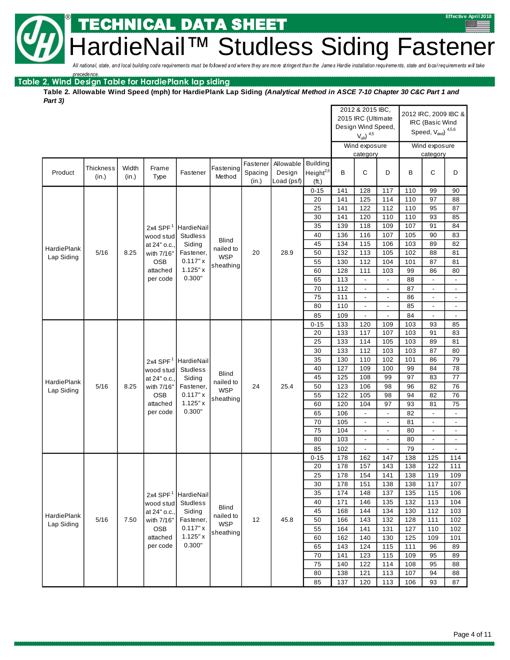NICAL DATA SHEET

eNail™ Studless Siding Fastener

All national, state, and local building code requirements must be followed and where they are more stringent than the James Hardie installation requirements, state and local requirements will take

**Table 2, Wind Design Table for HardiePlank lap siding** *precedence.*

®

**Table 2. Allowable Wind Speed (mph) for HardiePlank Lap Siding** *(Analytical Method in ASCE 7-10 Chapter 30 C&C Part 1 and Part 3)*

|                    |                                         |            |                        |                      |                           |          |            |                       |            | 2012 & 2015 IBC,<br>2015 IRC (Ultimate |                          |            | 2012 IRC, 2009 IBC &                          |                          |
|--------------------|-----------------------------------------|------------|------------------------|----------------------|---------------------------|----------|------------|-----------------------|------------|----------------------------------------|--------------------------|------------|-----------------------------------------------|--------------------------|
|                    |                                         |            |                        |                      |                           |          |            |                       |            | Design Wind Speed,                     |                          |            | IRC (Basic Wind                               |                          |
|                    |                                         |            |                        |                      |                           |          |            |                       |            | $V_{ult}$ ) $4,5$                      |                          |            | Speed, $\mathrm{V}_{\mathrm{asd}}$ $^{4,5,6}$ |                          |
|                    |                                         |            |                        |                      |                           |          |            |                       |            | Wind exposure                          |                          |            | Wind exposure                                 |                          |
|                    |                                         |            |                        |                      |                           |          |            |                       |            | category                               |                          |            | category                                      |                          |
|                    |                                         |            |                        |                      |                           | Fastener | Allowable  | <b>Building</b>       |            |                                        |                          |            |                                               |                          |
| Product            | <b>Thickness</b>                        | Width      | Frame                  | Fastener             | Fastening                 | Spacing  | Design     | Height <sup>2,5</sup> | В          | С                                      | D                        | B          | C                                             | D                        |
|                    | (in.)                                   | (in.)      | Type                   |                      | Method                    | (in.)    | Load (psf) | (ft.)                 |            |                                        |                          |            |                                               |                          |
|                    |                                         |            |                        |                      |                           |          |            | $0 - 15$              | 141        | 128                                    | 117                      | 110        | 99                                            | 90                       |
|                    |                                         |            |                        |                      |                           |          |            | 20                    | 141        | 125                                    | 114                      | 110        | 97                                            | 88                       |
|                    |                                         |            |                        |                      |                           |          |            | 25                    | 141        | 122                                    | 112                      | 110        | 95                                            | 87                       |
|                    |                                         |            |                        |                      |                           |          |            | 30                    | 141        | 120                                    | 110                      | 110        | 93                                            | 85                       |
|                    |                                         |            | 2x4 SPF $1$            | HardieNail           |                           |          |            | 35                    | 139        | 118                                    | 109                      | 107        | 91                                            | 84                       |
|                    |                                         |            | wood stud              | <b>Studless</b>      | <b>Blind</b>              |          |            | 40                    | 136        | 116                                    | 107                      | 105        | 90                                            | 83                       |
| <b>HardiePlank</b> |                                         |            | at 24" o.c.,           | Siding               | nailed to                 |          |            | 45                    | 134        | 115                                    | 106                      | 103        | 89                                            | 82                       |
| Lap Siding         | 5/16                                    | 8.25       | with 7/16"             | Fastener,            | <b>WSP</b>                | 20       | 28.9       | 50                    | 132        | 113                                    | 105                      | 102        | 88                                            | 81                       |
|                    |                                         |            | <b>OSB</b>             | 0.117"x              | sheathing                 |          |            | 55                    | 130        | 112                                    | 104                      | 101        | 87                                            | 81                       |
|                    |                                         |            | attached               | $1.125"$ x           |                           |          |            | 60                    | 128        | 111                                    | 103                      | 99         | 86                                            | 80                       |
|                    |                                         |            | per code               | 0.300"               |                           |          |            | 65                    | 113        | $\overline{\phantom{a}}$               | $\Box$                   | 88         | L,                                            | $\overline{\phantom{a}}$ |
|                    |                                         |            |                        |                      |                           |          |            | 70                    | 112        | $\overline{\phantom{a}}$               | $\overline{\phantom{a}}$ | 87         | $\overline{\phantom{a}}$                      | $\overline{\phantom{a}}$ |
|                    |                                         |            |                        |                      |                           |          |            | 75                    | 111        | $\blacksquare$                         | $\blacksquare$           | 86         |                                               | $\overline{\phantom{a}}$ |
|                    |                                         |            |                        |                      |                           |          |            | 80                    | 110        | $\blacksquare$                         | $\blacksquare$           | 85         | $\overline{\phantom{a}}$                      | $\overline{\phantom{a}}$ |
|                    |                                         |            |                        |                      |                           |          |            | 85                    | 109        | $\blacksquare$                         | $\overline{\phantom{a}}$ | 84         | $\overline{\phantom{a}}$                      | $\overline{\phantom{a}}$ |
|                    |                                         |            |                        |                      |                           |          |            | $0 - 15$<br>20        | 133<br>133 | 120<br>117                             | 109<br>107               | 103<br>103 | 93<br>91                                      | 85<br>83                 |
|                    |                                         |            |                        |                      |                           |          | 25         | 133                   | 114        | 105                                    | 103                      | 89         | 81                                            |                          |
|                    |                                         |            |                        |                      |                           |          | 30         | 133                   | 112        | 103                                    | 103                      | 87         | 80                                            |                          |
|                    | 2x4 SPF $1$<br>HardieNail               |            |                        |                      | 35                        | 130      | 110        | 102                   | 101        | 86                                     | 79                       |            |                                               |                          |
|                    |                                         |            | wood stud              | <b>Studless</b>      |                           |          |            | 40                    | 127        | 109                                    | 100                      | 99         | 84                                            | 78                       |
|                    |                                         |            | at 24" o.c.,           | Siding               | <b>Blind</b>              |          |            | 45                    | 125        | 108                                    | 99                       | 97         | 83                                            | 77                       |
| <b>HardiePlank</b> | 5/16                                    | 8.25       | with 7/16"             | Fastener,            | nailed to                 | 24       | 25.4       | 50                    | 123        | 106                                    | 98                       | 96         | 82                                            | 76                       |
| Lap Siding         |                                         |            | <b>OSB</b>             | 0.117"x              | <b>WSP</b>                |          |            | 55                    | 122        | 105                                    | 98                       | 94         | 82                                            | 76                       |
|                    |                                         |            | attached               | $1.125"$ x           | sheathing                 |          |            | 60                    | 120        | 104                                    | 97                       | 93         | 81                                            | 75                       |
|                    |                                         |            | per code               | 0.300"               |                           |          |            | 65                    | 106        | $\overline{\phantom{a}}$               | $\overline{\phantom{a}}$ | 82         | $\overline{a}$                                | $\overline{\phantom{a}}$ |
|                    |                                         |            |                        |                      |                           |          |            | 70                    | 105        | $\blacksquare$                         |                          | 81         |                                               | $\overline{\phantom{a}}$ |
|                    |                                         |            |                        |                      |                           |          |            | 75                    | 104        | $\blacksquare$                         | $\Box$                   | 80         | $\blacksquare$                                | $\overline{\phantom{a}}$ |
|                    |                                         |            |                        |                      |                           |          |            | 80                    | 103        | $\overline{\phantom{a}}$               | $\overline{\phantom{a}}$ | 80         | $\frac{1}{2}$                                 | $\overline{\phantom{a}}$ |
|                    |                                         |            |                        |                      |                           |          |            | 85                    | 102        | $\overline{\phantom{a}}$               | $\blacksquare$           | 79         | $\overline{a}$                                | $\blacksquare$           |
|                    |                                         |            |                        |                      |                           |          |            | $0 - 15$              | 178        | 162                                    | 147                      | 138        | 125                                           | 114                      |
|                    |                                         |            |                        |                      |                           |          |            | 20                    | 178        | 157                                    | 143                      | 138        | 122                                           | 111                      |
|                    |                                         |            |                        |                      |                           |          |            | 25                    | 178        | 154                                    | 141                      | 138        | 119                                           | 109                      |
|                    |                                         |            |                        |                      |                           |          |            | 30                    | 178        | 151                                    | 138                      | 138        | 117                                           | 107                      |
|                    |                                         |            | 2x4 SPF $1$            | HardieNail           |                           |          |            | 35                    | 174        | 148                                    | 137                      | 135        | 115                                           | 106                      |
|                    |                                         |            | wood stud              | <b>Studless</b>      |                           |          |            | 40                    | 171        | 146                                    | 135                      | 132        | 113                                           | 104                      |
| HardiePlank        |                                         |            | at 24" o.c.,           | Siding               | <b>Blind</b><br>nailed to |          |            | 45                    | 168        | 144                                    | 134                      | 130        | 112                                           | 103                      |
| Lap Siding         | 5/16<br>7.50<br>with 7/16"<br>Fastener, | <b>WSP</b> | 12                     | 45.8                 | 50                        | 166      | 143        | 132                   | 128        | 111                                    | 102                      |            |                                               |                          |
|                    |                                         |            | <b>OSB</b><br>attached | 0.117" x<br>1.125" x | sheathing                 |          |            | 55<br>60              | 164<br>162 | 141<br>140                             | 131<br>130               | 127<br>125 | 110<br>109                                    | 102<br>101               |
|                    |                                         |            | per code               | 0.300"               |                           |          |            | 65                    | 143        | 124                                    | 115                      | 111        | 96                                            | 89                       |
|                    |                                         |            |                        |                      |                           |          |            | 70                    | 141        | 123                                    | 115                      | 109        | 95                                            | 89                       |
|                    |                                         |            |                        |                      |                           |          |            | 75                    | 140        | 122                                    | 114                      | 108        | 95                                            | 88                       |
|                    |                                         |            |                        |                      |                           |          |            | 80                    | 138        | 121                                    | 113                      | 107        | 94                                            | 88                       |
|                    |                                         |            |                        |                      |                           |          |            | 85                    | 137        | 120                                    | 113                      | 106        | 93                                            | 87                       |
|                    |                                         |            |                        |                      |                           |          |            |                       |            |                                        |                          |            |                                               |                          |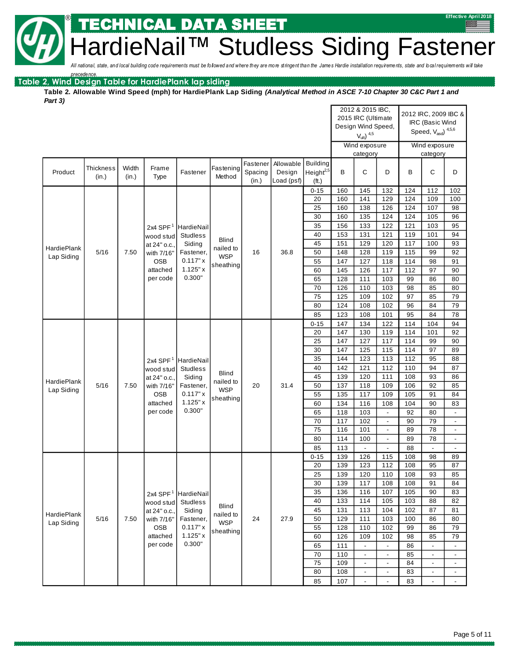## IICAL DATA SHEET

BRAITM Studless Siding Fastener

All national, state, and local building code requirements must be followed and where they are more stringent than the James Hardie installation requirements, state and local requirements will take

**Table 2, Wind Design Table for HardiePlank lap siding** *precedence.*

®

**Table 2. Allowable Wind Speed (mph) for HardiePlank Lap Siding** *(Analytical Method in ASCE 7-10 Chapter 30 C&C Part 1 and Part 3)*Ť

|             |                                                                                                                                                                                                                 |                |                      |                    |                     | 2012 & 2015 IBC,<br>2015 IRC (Ultimate<br>Design Wind Speed, |                                   |                                      | 2012 IRC, 2009 IBC &<br>IRC (Basic Wind<br>Speed, $V_{\text{asd}}$ ) $^{4,5,6}$ |                                    |                          |            |                          |                          |
|-------------|-----------------------------------------------------------------------------------------------------------------------------------------------------------------------------------------------------------------|----------------|----------------------|--------------------|---------------------|--------------------------------------------------------------|-----------------------------------|--------------------------------------|---------------------------------------------------------------------------------|------------------------------------|--------------------------|------------|--------------------------|--------------------------|
|             |                                                                                                                                                                                                                 |                |                      |                    |                     |                                                              |                                   |                                      |                                                                                 | $V_{ult}$ ) $4,5$<br>Wind exposure |                          |            | Wind exposure            |                          |
|             |                                                                                                                                                                                                                 |                |                      |                    |                     |                                                              |                                   |                                      |                                                                                 | category                           |                          |            | category                 |                          |
| Product     | <b>Thickness</b><br>(in.)                                                                                                                                                                                       | Width<br>(in.) | Frame<br>Type        | Fastener           | Fastening<br>Method | Fastener<br>Spacing<br>(in.)                                 | Allowable<br>Design<br>Load (psf) | Building<br>Height $^{2,5}$<br>(ft.) | B                                                                               | C                                  | D                        | B          | C                        | D                        |
|             |                                                                                                                                                                                                                 |                |                      |                    |                     |                                                              |                                   | $0 - 15$                             | 160                                                                             | 145                                | 132                      | 124        | 112                      | 102                      |
|             |                                                                                                                                                                                                                 |                |                      |                    |                     |                                                              |                                   | 20                                   | 160                                                                             | 141                                | 129                      | 124        | 109                      | 100                      |
|             |                                                                                                                                                                                                                 |                |                      |                    |                     |                                                              |                                   | 25                                   | 160                                                                             | 138                                | 126                      | 124        | 107                      | 98                       |
|             |                                                                                                                                                                                                                 |                |                      |                    |                     |                                                              |                                   | 30                                   | 160                                                                             | 135                                | 124                      | 124        | 105                      | 96                       |
|             |                                                                                                                                                                                                                 |                | 2x4 SPF $1$          | HardieNail         |                     |                                                              |                                   | 35                                   | 156                                                                             | 133                                | 122                      | 121        | 103                      | 95                       |
|             |                                                                                                                                                                                                                 |                | wood stud            | <b>Studless</b>    | <b>Blind</b>        |                                                              |                                   | 40                                   | 153                                                                             | 131                                | 121                      | 119        | 101                      | 94                       |
| HardiePlank |                                                                                                                                                                                                                 |                | at 24" o.c.,         | Siding             | nailed to           |                                                              |                                   | 45                                   | 151                                                                             | 129                                | 120                      | 117        | 100                      | 93                       |
| Lap Siding  | 5/16                                                                                                                                                                                                            | 7.50           | with 7/16"           | Fastener,          | <b>WSP</b>          | 16                                                           | 36.8                              | 50                                   | 148                                                                             | 128                                | 119                      | 115        | 99                       | 92                       |
|             |                                                                                                                                                                                                                 |                | <b>OSB</b>           | 0.117"x<br>1.125"x | sheathing           |                                                              |                                   | 55                                   | 147                                                                             | 127                                | 118                      | 114        | 98                       | 91                       |
|             |                                                                                                                                                                                                                 |                | attached<br>per code | 0.300"             |                     |                                                              |                                   | 60                                   | 145                                                                             | 126                                | 117                      | 112        | 97                       | 90                       |
|             |                                                                                                                                                                                                                 |                |                      |                    |                     |                                                              |                                   | 65<br>70                             | 128<br>126                                                                      | 111<br>110                         | 103<br>103               | 99<br>98   | 86<br>85                 | 80<br>80                 |
|             |                                                                                                                                                                                                                 |                |                      |                    |                     |                                                              |                                   | 75                                   | 125                                                                             | 109                                | 102                      | 97         | 85                       | 79                       |
|             |                                                                                                                                                                                                                 |                |                      |                    |                     |                                                              |                                   | 80                                   | 124                                                                             | 108                                | 102                      | 96         | 84                       | 79                       |
|             |                                                                                                                                                                                                                 |                |                      |                    |                     |                                                              |                                   | 85                                   | 123                                                                             | 108                                | 101                      | 95         | 84                       | 78                       |
|             |                                                                                                                                                                                                                 |                |                      |                    |                     |                                                              |                                   | $0 - 15$                             | 147                                                                             | 134                                | 122                      | 114        | 104                      | 94                       |
|             |                                                                                                                                                                                                                 |                |                      |                    |                     |                                                              |                                   | 20                                   | 147                                                                             | 130                                | 119                      | 114        | 101                      | 92                       |
|             |                                                                                                                                                                                                                 |                |                      |                    | 25                  | 147                                                          | 127                               | 117                                  | 114                                                                             | 99                                 | 90                       |            |                          |                          |
|             |                                                                                                                                                                                                                 |                |                      |                    |                     |                                                              |                                   | 30                                   | 147                                                                             | 125                                | 115                      | 114        | 97                       | 89                       |
|             |                                                                                                                                                                                                                 |                | $2x4$ SPF            | HardieNail         |                     |                                                              |                                   | 35                                   | 144                                                                             | 123                                | 113                      | 112        | 95                       | 88                       |
|             |                                                                                                                                                                                                                 |                | wood stud            | <b>Studless</b>    |                     |                                                              |                                   | 40                                   | 142                                                                             | 121                                | 112                      | 110        | 94                       | 87                       |
| HardiePlank |                                                                                                                                                                                                                 |                | at 24" o.c.,         | Siding             | Blind<br>nailed to  |                                                              |                                   | 45                                   | 139                                                                             | 120                                | 111                      | 108        | 93                       | 86                       |
| Lap Siding  | 5/16                                                                                                                                                                                                            | 7.50           | with 7/16"           | Fastener,          | <b>WSP</b>          | 20                                                           | 31.4                              | 50                                   | 137                                                                             | 118                                | 109                      | 106        | 92                       | 85                       |
|             |                                                                                                                                                                                                                 |                | <b>OSB</b>           | 0.117"x            | sheathing           |                                                              |                                   | 55                                   | 135                                                                             | 117                                | 109                      | 105        | 91                       | 84                       |
|             |                                                                                                                                                                                                                 |                | attached             | 1.125"x            |                     |                                                              |                                   | 60                                   | 134                                                                             | 116                                | 108                      | 104        | 90                       | 83                       |
|             |                                                                                                                                                                                                                 |                | per code             | 0.300"             |                     |                                                              |                                   | 65                                   | 118                                                                             | 103                                | $\overline{\phantom{a}}$ | 92         | 80                       |                          |
|             |                                                                                                                                                                                                                 |                |                      |                    |                     |                                                              |                                   | 70                                   | 117                                                                             | 102                                | $\overline{\phantom{a}}$ | 90         | 79                       | $\blacksquare$           |
|             |                                                                                                                                                                                                                 |                |                      |                    |                     |                                                              |                                   | 75                                   | 116                                                                             | 101                                | $\overline{\phantom{a}}$ | 89         | 78                       | $\blacksquare$           |
|             |                                                                                                                                                                                                                 |                |                      |                    |                     |                                                              |                                   | 80                                   | 114                                                                             | 100                                | $\blacksquare$           | 89         | 78                       | $\blacksquare$           |
|             |                                                                                                                                                                                                                 |                |                      |                    |                     |                                                              |                                   | 85                                   | 113                                                                             |                                    |                          | 88         | $\overline{\phantom{a}}$ |                          |
|             |                                                                                                                                                                                                                 |                |                      |                    |                     |                                                              |                                   | $0 - 15$<br>20                       | 139<br>139                                                                      | 126<br>123                         | 115<br>112               | 108<br>108 | 98<br>95                 | 89<br>87                 |
|             |                                                                                                                                                                                                                 |                |                      |                    |                     |                                                              |                                   | 25                                   | 139                                                                             | 120                                | 110                      | 108        | 93                       | 85                       |
|             |                                                                                                                                                                                                                 |                |                      |                    |                     |                                                              |                                   | 30                                   | 139                                                                             | 117                                | 108                      | 108        | 91                       | 84                       |
|             |                                                                                                                                                                                                                 |                | 2x4 SPF $1$          | HardieNail         |                     |                                                              |                                   | 35                                   | 136                                                                             | 116                                | 107                      | 105        | 90                       | 83                       |
|             |                                                                                                                                                                                                                 |                |                      |                    |                     |                                                              |                                   | 40                                   | 133                                                                             | 114                                | 105                      | 103        | 88                       | 82                       |
|             | <b>Studless</b><br>wood stud<br><b>Blind</b><br>at 24" o.c.,<br>Siding<br>HardiePlank<br>nailed to<br>5/16<br>7.50<br>Fastener,<br>with 7/16'<br><b>WSP</b><br>Lap Siding<br><b>OSB</b><br>0.117"x<br>sheathing |                |                      |                    | 45                  | 131                                                          | 113                               | 104                                  | 102                                                                             | 87                                 | 81                       |            |                          |                          |
|             |                                                                                                                                                                                                                 |                | 24                   | 27.9               | 50                  | 129                                                          | 111                               | 103                                  | 100                                                                             | 86                                 | 80                       |            |                          |                          |
|             |                                                                                                                                                                                                                 |                |                      |                    | 55                  | 128                                                          | 110                               | 102                                  | 99                                                                              | 86                                 | 79                       |            |                          |                          |
|             |                                                                                                                                                                                                                 |                | attached             | 1.125"x            |                     |                                                              |                                   | 60                                   | 126                                                                             | 109                                | 102                      | 98         | 85                       | 79                       |
|             |                                                                                                                                                                                                                 |                | per code             | 0.300"             |                     |                                                              |                                   | 65                                   | 111                                                                             | $\overline{\phantom{a}}$           | $\overline{\phantom{a}}$ | 86         | $\blacksquare$           | $\overline{\phantom{a}}$ |
|             |                                                                                                                                                                                                                 |                |                      |                    |                     |                                                              |                                   | 70                                   | 110                                                                             | $\overline{\phantom{a}}$           | $\overline{\phantom{a}}$ | 85         | $\overline{\phantom{a}}$ | $\blacksquare$           |
|             |                                                                                                                                                                                                                 |                |                      |                    |                     |                                                              |                                   | 75                                   | 109                                                                             | $\overline{\phantom{a}}$           | $\overline{\phantom{a}}$ | 84         | $\overline{\phantom{a}}$ | $\overline{\phantom{a}}$ |
|             |                                                                                                                                                                                                                 |                |                      |                    |                     |                                                              |                                   | 80                                   | 108                                                                             | $\overline{\phantom{a}}$           | $\overline{\phantom{a}}$ | 83         | $\blacksquare$           |                          |
|             |                                                                                                                                                                                                                 |                |                      |                    |                     |                                                              |                                   | 85                                   | 107                                                                             | $\overline{\phantom{a}}$           | $\overline{\phantom{a}}$ | 83         | $\overline{a}$           | $\overline{\phantom{a}}$ |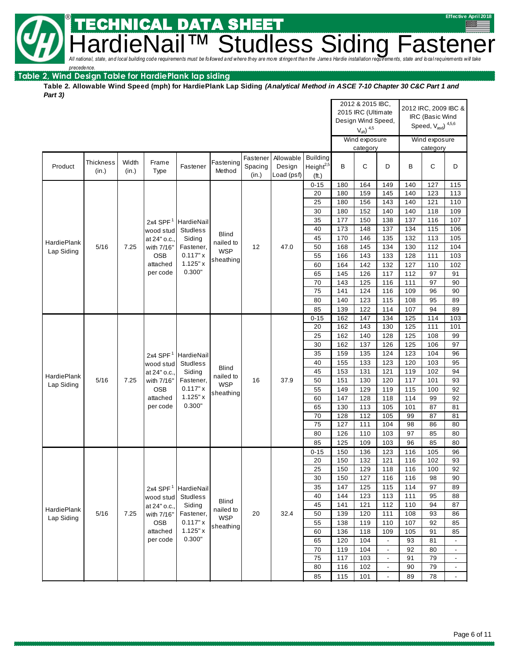**Hardical Conditional**, state, and local building code requirements must be followed and where they are more stringent than the James Hardie installation requirements, state and bcal requirements will take

*precedence.*

#### **Table 2, Wind Design Table for HardiePlank lap siding**

®

**Table 2. Allowable Wind Speed (mph) for HardiePlank Lap Siding** *(Analytical Method in ASCE 7-10 Chapter 30 C&C Part 1 and Part 3)*

CAL DATA SHEET

|                    |                           |                |                               |                     |                     |                     |                              |                       |            | 2012 & 2015 IBC,<br>2015 IRC (Ultimate<br>Design Wind Speed, |                          |            | 2012 IRC, 2009 IBC &<br>IRC (Basic Wind<br>Speed, $V_{\text{asd}}$ ) $^{4,5,6}$ |                          |
|--------------------|---------------------------|----------------|-------------------------------|---------------------|---------------------|---------------------|------------------------------|-----------------------|------------|--------------------------------------------------------------|--------------------------|------------|---------------------------------------------------------------------------------|--------------------------|
|                    |                           |                |                               |                     |                     |                     |                              |                       |            | $V_{ult}$ ) $4,5$                                            |                          |            |                                                                                 |                          |
|                    |                           |                |                               |                     |                     |                     |                              |                       |            | Wind exposure<br>category                                    |                          |            | Wind exposure<br>category                                                       |                          |
| Product            | Thickness<br>(in.)        | Width<br>(in.) | Frame                         | Fastener            | Fastening<br>Method | Fastener<br>Spacing | Allowable Building<br>Design | Height <sup>2,5</sup> | В          | $\mathsf C$                                                  | D                        | B          | C                                                                               | D                        |
|                    |                           |                | Type                          |                     |                     | (in.)               | Load (psf)                   | (ft.)                 |            |                                                              |                          |            |                                                                                 |                          |
|                    |                           |                |                               |                     |                     |                     |                              | $0 - 15$              | 180        | 164                                                          | 149                      | 140        | 127                                                                             | 115                      |
|                    |                           |                |                               |                     |                     |                     |                              | 20                    | 180        | 159                                                          | 145                      | 140        | 123                                                                             | 113                      |
|                    |                           |                |                               |                     |                     |                     |                              | 25                    | 180        | 156                                                          | 143                      | 140        | 121                                                                             | 110                      |
|                    |                           |                |                               |                     |                     |                     |                              | 30                    | 180        | 152                                                          | 140                      | 140        | 118                                                                             | 109                      |
|                    |                           |                | 2x4 SPF $1$                   | HardieNail          |                     |                     |                              | 35<br>40              | 177<br>173 | 150<br>148                                                   | 138<br>137               | 137<br>134 | 116<br>115                                                                      | 107<br>106               |
|                    |                           |                | wood stud                     | <b>Studless</b>     | <b>Blind</b>        |                     |                              | 45                    | 170        | 146                                                          | 135                      | 132        | 113                                                                             | 105                      |
| HardiePlank        | 5/16                      | 7.25           | at 24" o.c.,<br>with 7/16"    | Siding<br>Fastener, | nailed to           | 12                  | 47.0                         | 50                    | 168        | 145                                                          | 134                      | 130        | 112                                                                             | 104                      |
| Lap Siding         |                           |                | <b>OSB</b>                    | 0.117" x            | <b>WSP</b>          |                     |                              | 55                    | 166        | 143                                                          | 133                      | 128        | 111                                                                             | 103                      |
|                    |                           |                | attached                      | 1.125"x             | sheathing           |                     |                              | 60                    | 164        | 142                                                          | 132                      | 127        | 110                                                                             | 102                      |
|                    |                           |                | per code                      | 0.300"              |                     |                     |                              | 65                    | 145        | 126                                                          | 117                      | 112        | 97                                                                              | 91                       |
|                    |                           |                |                               |                     |                     |                     |                              | 70                    | 143        | 125                                                          | 116                      | 111        | 97                                                                              | 90                       |
|                    |                           |                |                               |                     |                     |                     |                              | 75                    | 141        | 124                                                          | 116                      | 109        | 96                                                                              | 90                       |
|                    |                           |                |                               |                     |                     |                     |                              | 80                    | 140        | 123                                                          | 115                      | 108        | 95                                                                              | 89                       |
|                    |                           |                |                               |                     |                     |                     |                              | 85                    | 139        | 122                                                          | 114                      | 107        | 94                                                                              | 89                       |
|                    |                           |                |                               |                     |                     |                     |                              | $0 - 15$              | 162        | 147                                                          | 134                      | 125        | 114                                                                             | 103                      |
|                    |                           |                |                               |                     |                     |                     |                              | 20                    | 162        | 143                                                          | 130                      | 125        | 111                                                                             | 101                      |
|                    |                           |                |                               |                     |                     | 25                  | 162                          | 140                   | 128        | 125                                                          | 108                      | 99         |                                                                                 |                          |
|                    |                           |                |                               |                     |                     |                     |                              | 30                    | 162        | 137                                                          | 126                      | 125        | 106                                                                             | 97                       |
|                    | 2x4 SPF $1$<br>HardieNail |                |                               |                     | 35                  | 159                 | 135                          | 124                   | 123        | 104                                                          | 96                       |            |                                                                                 |                          |
|                    |                           |                | wood stud                     | <b>Studless</b>     | <b>Blind</b>        |                     |                              | 40                    | 155        | 133                                                          | 123                      | 120        | 103                                                                             | 95                       |
| HardiePlank        |                           |                | at 24" o.c.,                  | Siding              | nailed to           |                     |                              | 45                    | 153        | 131                                                          | 121                      | 119        | 102                                                                             | 94                       |
| Lap Siding         | 5/16                      | 7.25           | with 7/16"                    | Fastener,           | <b>WSP</b>          | 16                  | 37.9                         | 50                    | 151        | 130                                                          | 120                      | 117        | 101                                                                             | 93                       |
|                    |                           |                | OSB                           | 0.117" x<br>1.125"x | sheathing           |                     |                              | 55                    | 149        | 129                                                          | 119                      | 115        | 100                                                                             | 92                       |
|                    |                           |                | attached<br>per code          | 0.300"              |                     |                     |                              | 60                    | 147        | 128                                                          | 118                      | 114        | 99                                                                              | 92                       |
|                    |                           |                |                               |                     |                     |                     |                              | 65<br>70              | 130<br>128 | 113<br>112                                                   | 105<br>105               | 101<br>99  | 87<br>87                                                                        | 81<br>81                 |
|                    |                           |                |                               |                     |                     |                     |                              | 75                    | 127        | 111                                                          | 104                      | 98         | 86                                                                              | 80                       |
|                    |                           |                |                               |                     |                     |                     |                              | 80                    | 126        | 110                                                          | 103                      | 97         | 85                                                                              | 80                       |
|                    |                           |                |                               |                     |                     |                     |                              | 85                    | 125        | 109                                                          | 103                      | 96         | 85                                                                              | 80                       |
|                    |                           |                |                               |                     |                     |                     |                              | $0 - 15$              | 150        | 136                                                          | 123                      | 116        | 105                                                                             | 96                       |
|                    |                           |                |                               |                     |                     |                     |                              | 20                    | 150        | 132                                                          | 121                      | 116        | 102                                                                             | 93                       |
|                    |                           |                |                               |                     |                     |                     |                              | 25                    | 150        | 129                                                          | 118                      | 116        | 100                                                                             | 92                       |
|                    |                           |                |                               |                     |                     |                     |                              | 30                    | 150        | 127                                                          | 116                      | 116        | 98                                                                              | 90                       |
|                    |                           |                | 2x4 SPF $1$                   | HardieNail          |                     |                     |                              | 35                    | 147        | 125                                                          | 115                      | 114        | 97                                                                              | 89                       |
|                    |                           |                | wood stud                     | <b>Studless</b>     |                     |                     |                              | 40                    | 144        | 123                                                          | 113                      | 111        | 95                                                                              | 88                       |
| <b>HardiePlank</b> |                           |                | at 24" o.c.,                  | Siding              | <b>Blind</b>        |                     |                              | 45                    | 141        | 121                                                          | 112                      | 110        | 94                                                                              | 87                       |
| Lap Siding         | $5/16$                    | 7.25           | with 7/16"                    | Fastener,           | nailed to           | 20                  | 32.4                         | 50                    | 139        | 120                                                          | 111                      | 108        | 93                                                                              | 86                       |
|                    |                           |                | <b>WSP</b><br>OSB<br>0.117" x | sheathing           |                     |                     | 55                           | 138                   | 119        | 110                                                          | 107                      | 92         | 85                                                                              |                          |
|                    | 1.125" x<br>attached      |                |                               |                     | 60                  | 136                 | 118                          | 109                   | 105        | 91                                                           | 85                       |            |                                                                                 |                          |
|                    |                           |                | per code                      | 0.300"              |                     |                     |                              | 65                    | 120        | 104                                                          | $\overline{\phantom{a}}$ | 93         | 81                                                                              | $\overline{\phantom{a}}$ |
|                    |                           |                |                               |                     |                     |                     |                              | 70                    | 119        | 104                                                          | $\blacksquare$           | 92         | 80                                                                              | $\blacksquare$           |
|                    |                           |                |                               |                     |                     |                     |                              | 75                    | 117        | 103                                                          | $\overline{\phantom{a}}$ | 91         | 79                                                                              | $\blacksquare$           |
|                    |                           |                |                               |                     |                     |                     |                              | 80                    | 116        | 102                                                          | $\overline{\phantom{a}}$ | 90         | 79                                                                              | $\overline{\phantom{a}}$ |
|                    |                           |                |                               |                     |                     |                     |                              | 85                    | 115        | 101                                                          | $\overline{\phantom{a}}$ | 89         | 78                                                                              | $\overline{\phantom{a}}$ |

**Effective April 2018**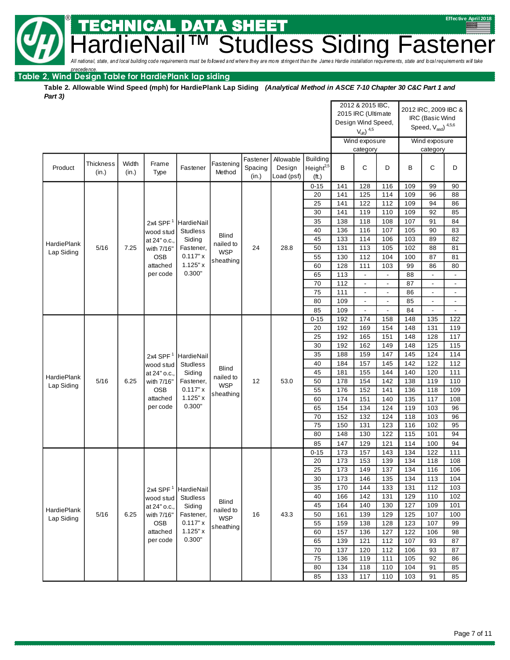**SETTLE CHNICAL DATA SHEET Hardical** state, and local building code requirements must be followed and where they are more stringent than the James Hardie installation requirements, state and local requirements will take

## *precedence.* **Table 2, Wind Design Table for HardiePlank lap siding**

**Table 2. Allowable Wind Speed (mph) for HardiePlank Lap Siding** *(Analytical Method in ASCE 7-10 Chapter 30 C&C Part 1 and Part 3)*

|             |                           |                |                          |                       |                           |                              |                                   |                                                   |            | 2012 & 2015 IBC,<br>2015 IRC (Ultimate<br>Design Wind Speed,<br>$V_{ult}$ ) $4,5$ |                          |            | 2012 IRC, 2009 IBC &<br>IRC (Basic Wind<br>Speed, $V_{\text{asd}}$ ) $^{4,5,6}$ |                          |
|-------------|---------------------------|----------------|--------------------------|-----------------------|---------------------------|------------------------------|-----------------------------------|---------------------------------------------------|------------|-----------------------------------------------------------------------------------|--------------------------|------------|---------------------------------------------------------------------------------|--------------------------|
|             |                           |                |                          |                       |                           |                              |                                   |                                                   |            | Wind exposure<br>category                                                         |                          |            | Wind exposure<br>category                                                       |                          |
| Product     | <b>Thickness</b><br>(in.) | Width<br>(in.) | Frame<br>Type            | Fastener              | Fastening<br>Method       | Fastener<br>Spacing<br>(in.) | Allowable<br>Design<br>Load (psf) | <b>Building</b><br>Height <sup>2,5</sup><br>(ft.) | B          | С                                                                                 | D                        | B          | C                                                                               | D                        |
|             |                           |                |                          |                       |                           |                              |                                   | $0 - 15$                                          | 141        | 128                                                                               | 116                      | 109        | 99                                                                              | 90                       |
|             |                           |                |                          |                       |                           |                              |                                   | 20                                                | 141        | 125                                                                               | 114                      | 109        | 96                                                                              | 88                       |
|             |                           |                |                          |                       |                           |                              |                                   | 25                                                | 141        | 122                                                                               | 112                      | 109        | 94                                                                              | 86                       |
|             |                           |                |                          |                       |                           |                              |                                   | 30                                                | 141        | 119                                                                               | 110                      | 109        | 92                                                                              | 85                       |
|             |                           |                | 2x4 SPF $1$              | HardieNail            |                           |                              |                                   | 35                                                | 138        | 118                                                                               | 108                      | 107        | 91                                                                              | 84                       |
|             |                           |                | wood stud                | <b>Studless</b>       | <b>Blind</b>              |                              |                                   | 40                                                | 136        | 116                                                                               | 107                      | 105        | 90                                                                              | 83                       |
| HardiePlank | 5/16                      | 7.25           | at 24" o.c.,             | Siding<br>Fastener,   | nailed to                 | 24                           | 28.8                              | 45<br>50                                          | 133<br>131 | 114<br>113                                                                        | 106<br>105               | 103<br>102 | 89<br>88                                                                        | 82<br>81                 |
| Lap Siding  |                           |                | with 7/16"<br><b>OSB</b> | 0.117"x               | <b>WSP</b>                |                              |                                   | 55                                                | 130        | 112                                                                               | 104                      | 100        | 87                                                                              | 81                       |
|             |                           |                | attached                 | 1.125"x               | sheathing                 |                              |                                   | 60                                                | 128        | 111                                                                               | 103                      | 99         | 86                                                                              | 80                       |
|             |                           |                | per code                 | 0.300"                |                           |                              |                                   | 65                                                | 113        | $\overline{\phantom{a}}$                                                          | $\overline{\phantom{a}}$ | 88         | $\overline{\phantom{a}}$                                                        | $\overline{a}$           |
|             |                           |                |                          |                       |                           |                              |                                   | 70                                                | 112        | $\overline{\phantom{a}}$                                                          | $\overline{\phantom{a}}$ | 87         | $\blacksquare$                                                                  | $\blacksquare$           |
|             |                           |                |                          |                       |                           |                              |                                   | 75                                                | 111        | $\overline{\phantom{a}}$                                                          | $\overline{\phantom{a}}$ | 86         | $\overline{\phantom{a}}$                                                        | $\overline{\phantom{a}}$ |
|             |                           |                |                          |                       |                           |                              |                                   | 80                                                | 109        | $\overline{\phantom{a}}$                                                          |                          | 85         | $\overline{\phantom{a}}$                                                        |                          |
|             |                           |                |                          |                       |                           |                              |                                   | 85                                                | 109        | $\overline{\phantom{a}}$                                                          | ä,                       | 84         | $\frac{1}{2}$                                                                   | $\overline{a}$           |
|             |                           |                |                          |                       |                           |                              |                                   | $0 - 15$                                          | 192        | 174                                                                               | 158                      | 148        | 135                                                                             | 122                      |
|             |                           |                |                          |                       |                           |                              |                                   | 20                                                | 192        | 169                                                                               | 154                      | 148        | 131                                                                             | 119                      |
|             |                           |                |                          |                       |                           |                              |                                   | 25                                                | 192        | 165                                                                               | 151                      | 148        | 128                                                                             | 117                      |
|             |                           |                |                          |                       |                           |                              |                                   | 30                                                | 192        | 162                                                                               | 149                      | 148        | 125                                                                             | 115                      |
|             |                           |                | 2x4 SPF $1$              | HardieNail            |                           |                              |                                   | 35                                                | 188        | 159                                                                               | 147                      | 145        | 124                                                                             | 114                      |
|             |                           |                | wood stud                | <b>Studless</b>       | <b>Blind</b>              |                              |                                   | 40                                                | 184        | 157                                                                               | 145                      | 142        | 122                                                                             | 112                      |
| HardiePlank |                           |                | at 24" o.c.,             | Siding                | nailed to                 |                              |                                   | 45                                                | 181        | 155                                                                               | 144                      | 140        | 120                                                                             | 111                      |
| Lap Siding  | 5/16                      | 6.25           | with 7/16"               | Fastener,             | <b>WSP</b>                | 12                           | 53.0                              | 50                                                | 178        | 154                                                                               | 142                      | 138        | 119                                                                             | 110                      |
|             |                           |                | <b>OSB</b>               | 0.117"x               | sheathing                 |                              |                                   | 55                                                | 176        | 152                                                                               | 141                      | 136        | 118                                                                             | 109                      |
|             |                           |                | attached<br>per code     | $1.125"$ x<br>0.300"  |                           |                              |                                   | 60                                                | 174        | 151                                                                               | 140                      | 135        | 117                                                                             | 108                      |
|             |                           |                |                          |                       |                           |                              |                                   | 65<br>70                                          | 154<br>152 | 134<br>132                                                                        | 124<br>124               | 119<br>118 | 103<br>103                                                                      | 96<br>96                 |
|             |                           |                |                          |                       |                           |                              |                                   | 75                                                | 150        | 131                                                                               | 123                      | 116        | 102                                                                             | 95                       |
|             |                           |                |                          |                       |                           |                              |                                   | 80                                                | 148        | 130                                                                               | 122                      | 115        | 101                                                                             | 94                       |
|             |                           |                |                          |                       |                           |                              |                                   | 85                                                | 147        | 129                                                                               | 121                      | 114        | 100                                                                             | 94                       |
|             |                           |                |                          |                       |                           |                              |                                   | $0 - 15$                                          | 173        | 157                                                                               | 143                      | 134        | 122                                                                             | 111                      |
|             |                           |                |                          |                       |                           |                              |                                   | 20                                                | 173        | 153                                                                               | 139                      | 134        | 118                                                                             | 108                      |
|             |                           |                |                          |                       |                           |                              |                                   | 25                                                | 173        | 149                                                                               | 137                      | 134        | 116                                                                             | 106                      |
|             |                           |                |                          |                       |                           |                              |                                   | 30                                                | 173        | 146                                                                               | 135                      | 134        | 113                                                                             | 104                      |
|             |                           |                | 2x4 SPF $1$              | HardieNail            |                           |                              |                                   | 35                                                | 170        | 144                                                                               | 133                      | 131        | 112                                                                             | 103                      |
|             |                           |                | wood stud                | <b>Studless</b>       |                           |                              |                                   | 40                                                | 166        | 142                                                                               | 131                      | 129        | 110                                                                             | 102                      |
| HardiePlank |                           |                | at 24" o.c.,             | Siding                | <b>Blind</b><br>nailed to |                              |                                   | 45                                                | 164        | 140                                                                               | 130                      | 127        | 109                                                                             | 101                      |
| Lap Siding  | $5/16$                    | 6.25           | with 7/16"               | Fastener,             |                           | 16                           | 43.3                              | 50                                                | 161        | 139                                                                               | 129                      | 125        | 107                                                                             | 100                      |
|             |                           |                | <b>OSB</b>               | <b>WSP</b><br>0.117"x | sheathing                 |                              |                                   | 55                                                | 159        | 138                                                                               | 128                      | 123        | 107                                                                             | 99                       |
|             |                           |                | attached                 | 1.125"x               |                           |                              |                                   | 60                                                | 157        | 136                                                                               | 127                      | 122        | 106                                                                             | 98                       |
|             |                           |                | per code                 | 0.300"                |                           |                              |                                   | 65                                                | 139        | 121                                                                               | 112                      | 107        | 93                                                                              | 87                       |
|             |                           |                |                          |                       |                           |                              |                                   | 70                                                | 137        | 120                                                                               | 112                      | 106        | 93                                                                              | 87                       |
|             |                           |                |                          |                       |                           |                              |                                   | 75                                                | 136        | 119                                                                               | 111                      | 105        | 92                                                                              | 86                       |
|             |                           |                |                          |                       |                           |                              |                                   | 80                                                | 134        | 118                                                                               | 110                      | 104        | 91                                                                              | 85                       |
|             |                           |                |                          |                       |                           |                              |                                   | 85                                                | 133        | 117                                                                               | 110                      | 103        | 91                                                                              | 85                       |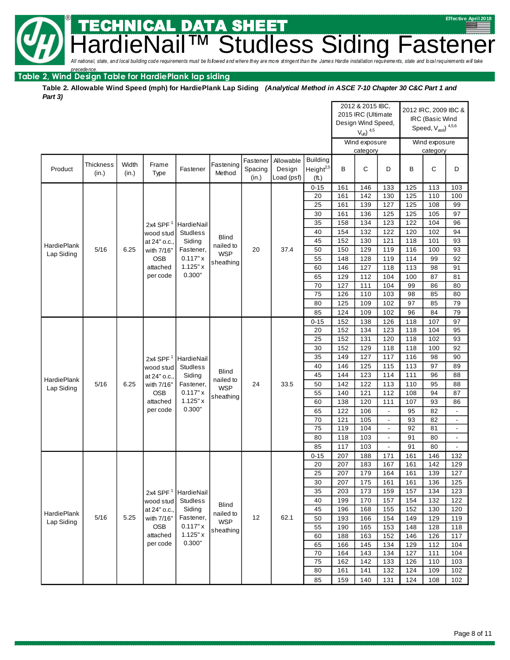**SETTLE CHNICAL DATA SHEET Hardical** state, and local building code requirements must be followed and where they are more stringent than the James Hardie installation requirements, state and local requirements will take

## *precedence.* **Table 2, Wind Design Table for HardiePlank lap siding**

**Table 2. Allowable Wind Speed (mph) for HardiePlank Lap Siding** *(Analytical Method in ASCE 7-10 Chapter 30 C&C Part 1 and Part 3)*

|                    |                              |           |                            |                     |                         |                  |                      |                                |            | 2012 & 2015 IBC,<br>2015 IRC (Ultimate<br>Design Wind Speed,<br>$V_{ult}$ ) $4,5$ |                          |            | 2012 IRC, 2009 IBC &<br>IRC (Basic Wind<br>Speed, $\rm V_{\rm asd})$ $^{4,5,6}$ |                          |
|--------------------|------------------------------|-----------|----------------------------|---------------------|-------------------------|------------------|----------------------|--------------------------------|------------|-----------------------------------------------------------------------------------|--------------------------|------------|---------------------------------------------------------------------------------|--------------------------|
|                    |                              |           |                            |                     |                         |                  |                      |                                |            | Wind exposure                                                                     |                          |            | Wind exposure                                                                   |                          |
|                    |                              |           |                            |                     |                         |                  |                      |                                |            | category                                                                          |                          |            | category                                                                        |                          |
|                    | <b>Thickness</b>             | Width     | Frame                      |                     | Fastening               | Fastener         | Allowable            | <b>Building</b>                |            |                                                                                   |                          | B          |                                                                                 | D                        |
| Product            | (in.)                        | (in.)     | Type                       | Fastener            | Method                  | Spacing<br>(in.) | Design<br>Load (psf) | Height <sup>2,5</sup><br>(ft.) | B          | C                                                                                 | D                        |            | C                                                                               |                          |
|                    |                              |           |                            |                     |                         |                  |                      | $0 - 15$                       | 161        | 146                                                                               | 133                      | 125        | 113                                                                             | 103                      |
|                    |                              |           |                            |                     |                         |                  |                      | 20                             | 161        | 142                                                                               | 130                      | 125        | 110                                                                             | 100                      |
|                    |                              |           |                            |                     |                         |                  |                      | 25                             | 161        | 139                                                                               | 127                      | 125        | 108                                                                             | 99                       |
|                    |                              |           |                            |                     |                         |                  |                      | 30                             | 161        | 136                                                                               | 125                      | 125        | 105                                                                             | 97                       |
|                    |                              |           | 2x4 SPF $1$                | HardieNail          |                         |                  |                      | 35                             | 158        | 134                                                                               | 123                      | 122        | 104                                                                             | 96                       |
|                    |                              |           | wood stud                  | <b>Studiess</b>     | <b>Blind</b>            |                  |                      | 40                             | 154        | 132                                                                               | 122                      | 120        | 102                                                                             | 94                       |
| <b>HardiePlank</b> |                              |           | at 24" o.c.,               | Siding              | nailed to               |                  |                      | 45                             | 152        | 130                                                                               | 121                      | 118        | 101                                                                             | 93                       |
| Lap Siding         | 5/16                         | 6.25      | with 7/16"                 | Fastener,           | <b>WSP</b>              | 20               | 37.4                 | 50                             | 150        | 129                                                                               | 119                      | 116        | 100                                                                             | 93                       |
|                    |                              |           | <b>OSB</b><br>attached     | 0.117"x<br>1.125"x  | sheathing               |                  |                      | 55<br>60                       | 148<br>146 | 128<br>127                                                                        | 119<br>118               | 114<br>113 | 99<br>98                                                                        | 92<br>91                 |
|                    |                              |           | per code                   | 0.300"              |                         |                  |                      | 65                             | 129        | 112                                                                               | 104                      | 100        | 87                                                                              | 81                       |
|                    |                              |           |                            |                     |                         |                  |                      | 70                             | 127        | 111                                                                               | 104                      | 99         | 86                                                                              | 80                       |
|                    |                              |           |                            |                     |                         |                  |                      | 75                             | 126        | 110                                                                               | 103                      | 98         | 85                                                                              | 80                       |
|                    |                              |           |                            |                     |                         |                  |                      | 80                             | 125        | 109                                                                               | 102                      | 97         | 85                                                                              | 79                       |
|                    |                              |           |                            |                     |                         |                  |                      | 85                             | 124        | 109                                                                               | 102                      | 96         | 84                                                                              | 79                       |
|                    |                              |           |                            |                     |                         |                  |                      | $0 - 15$                       | 152        | 138                                                                               | 126                      | 118        | 107                                                                             | 97                       |
|                    |                              |           |                            |                     |                         |                  |                      | 20                             | 152        | 134                                                                               | 123                      | 118        | 104                                                                             | 95                       |
|                    |                              |           |                            |                     |                         |                  |                      | 25                             | 152        | 131                                                                               | 120                      | 118        | 102                                                                             | 93                       |
|                    |                              |           |                            |                     |                         |                  |                      | 30                             | 152        | 129                                                                               | 118                      | 118        | 100                                                                             | 92                       |
|                    | 2x4 SPF $1$<br>HardieNail    |           |                            |                     | 35                      | 149              | 127                  | 117                            | 116        | 98                                                                                | 90                       |            |                                                                                 |                          |
|                    |                              |           | wood stud                  | <b>Studless</b>     | <b>Blind</b>            |                  |                      | 40                             | 146<br>144 | 125<br>123                                                                        | 115<br>114               | 113<br>111 | 97<br>96                                                                        | 89<br>88                 |
| <b>HardiePlank</b> | 5/16                         | 6.25      | at 24" o.c.,<br>with 7/16" | Siding<br>Fastener, | nailed to               | 24               | 33.5                 | 45<br>50                       | 142        | 122                                                                               | 113                      | 110        | 95                                                                              | 88                       |
| Lap Siding         |                              |           | OSB                        | 0.117"x             | <b>WSP</b>              |                  |                      | 55                             | 140        | 121                                                                               | 112                      | 108        | 94                                                                              | 87                       |
|                    |                              |           | attached                   | 1.125"x             | sheathing               |                  |                      | 60                             | 138        | 120                                                                               | 111                      | 107        | 93                                                                              | 86                       |
|                    |                              |           | per code                   | 0.300"              |                         |                  |                      | 65                             | 122        | 106                                                                               | $\overline{\phantom{a}}$ | 95         | 82                                                                              | $\blacksquare$           |
|                    |                              |           |                            |                     |                         |                  |                      | 70                             | 121        | 105                                                                               | $\overline{\phantom{a}}$ | 93         | 82                                                                              | $\overline{\phantom{a}}$ |
|                    |                              |           |                            |                     |                         |                  |                      | 75                             | 119        | 104                                                                               | $\blacksquare$           | 92         | 81                                                                              | $\blacksquare$           |
|                    |                              |           |                            |                     |                         |                  |                      | 80                             | 118        | 103                                                                               | $\overline{a}$           | 91         | 80                                                                              | $\blacksquare$           |
|                    |                              |           |                            |                     |                         |                  |                      | 85                             | 117        | 103                                                                               | $\overline{\phantom{a}}$ | 91         | 80                                                                              | $\overline{\phantom{a}}$ |
|                    |                              |           |                            |                     |                         |                  |                      | $0 - 15$                       | 207        | 188                                                                               | 171                      | 161        | 146                                                                             | 132                      |
|                    |                              |           |                            |                     |                         |                  |                      | 20<br>25                       | 207<br>207 | 183<br>179                                                                        | 167<br>164               | 161<br>161 | 142<br>139                                                                      | 129<br>127               |
|                    |                              |           |                            |                     |                         |                  |                      | 30                             | 207        | 175                                                                               | 161                      | 161        | 136                                                                             | 125                      |
|                    |                              |           | 2x4 SPF $1$                | HardieNail          |                         |                  |                      | 35                             | 203        | 173                                                                               | 159                      | 157        | 134                                                                             | 123                      |
|                    |                              |           | wood stud                  | <b>Studless</b>     |                         |                  |                      | 40                             | 199        | 170                                                                               | 157                      | 154        | 132                                                                             | 122                      |
|                    |                              |           | at 24" o.c.,               | Siding              | <b>Blind</b>            |                  |                      | 45                             | 196        | 168                                                                               | 155                      | 152        | 130                                                                             | 120                      |
| <b>HardiePlank</b> | 5/16                         | 5.25      | with 7/16"                 | Fastener,           | nailed to<br><b>WSP</b> | 12               | 62.1                 | 50                             | 193        | 166                                                                               | 154                      | 149        | 129                                                                             | 119                      |
|                    | Lap Siding<br>OSB<br>0.117"x | sheathing |                            |                     | 55                      | 190              | 165                  | 153                            | 148        | 128                                                                               | 118                      |            |                                                                                 |                          |
|                    |                              |           | attached                   | 1.125"x             |                         |                  |                      | 60                             | 188        | 163                                                                               | 152                      | 146        | 126                                                                             | 117                      |
|                    |                              |           | per code                   | 0.300"              |                         |                  |                      | 65                             | 166        | 145                                                                               | 134                      | 129        | 112                                                                             | 104                      |
|                    |                              |           |                            |                     |                         |                  |                      | 70<br>75                       | 164<br>162 | 143<br>142                                                                        | 134<br>133               | 127<br>126 | 111<br>110                                                                      | 104<br>103               |
|                    |                              |           |                            |                     |                         |                  |                      | 80                             | 161        | 141                                                                               | 132                      | 124        | 109                                                                             | 102                      |
|                    |                              |           |                            |                     |                         |                  |                      | 85                             | 159        | 140                                                                               | 131                      | 124        | 108                                                                             | 102                      |
|                    |                              |           |                            |                     |                         |                  |                      |                                |            |                                                                                   |                          |            |                                                                                 |                          |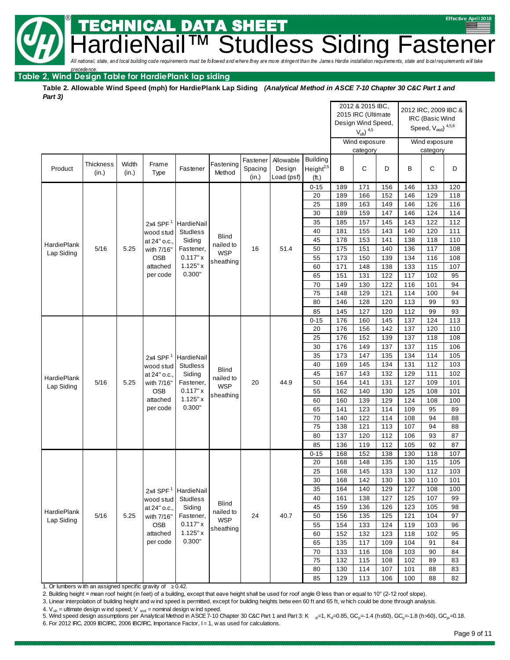TECHNICAL DATA SHEET **Hardiens Siding Fasten** 

building code requirements must be followed and where they are more stringent than the James Hardie installation requirements, state and local requirements will take

**® Example 2018 Example 2018 Effective April 2018** 

## *precedence.* **Table 2, Wind Design Table for HardiePlank lap siding**

**Table 2. Allowable Wind Speed (mph) for HardiePlank Lap Siding** *(Analytical Method in ASCE 7-10 Chapter 30 C&C Part 1 and Part 3)*

|                                                                  |                  |       |                 |                    |                         |                  |                      |                       |            | 2012 & 2015 IBC,                         |            |            | 2012 IRC, 2009 IBC &                 |            |
|------------------------------------------------------------------|------------------|-------|-----------------|--------------------|-------------------------|------------------|----------------------|-----------------------|------------|------------------------------------------|------------|------------|--------------------------------------|------------|
|                                                                  |                  |       |                 |                    |                         |                  |                      |                       |            | 2015 IRC (Ultimate<br>Design Wind Speed, |            |            | IRC (Basic Wind                      |            |
|                                                                  |                  |       |                 |                    |                         |                  |                      |                       |            | $V_{ult}$ ) $4.5$                        |            |            | Speed, $V_{\text{asd}}$ ) $^{4,5,6}$ |            |
|                                                                  |                  |       |                 |                    |                         |                  |                      |                       |            |                                          |            |            |                                      |            |
|                                                                  |                  |       |                 |                    |                         |                  |                      |                       |            | Wind exposure                            |            |            | Wind exposure                        |            |
|                                                                  |                  |       |                 |                    |                         |                  |                      |                       |            | category                                 |            |            | category                             |            |
|                                                                  | <b>Thickness</b> | Width | Frame           |                    | Fastening               | Fastener         | Allowable            | <b>Building</b>       | B          |                                          |            |            |                                      |            |
| Product                                                          | (in.)            | (in.) | Type            | Fastener           | Method                  | Spacing<br>(in.) | Design<br>Load (psf) | Height <sup>2,5</sup> |            | С                                        | D          | B          | C                                    | D          |
|                                                                  |                  |       |                 |                    |                         |                  |                      | (ft.)                 |            |                                          |            |            |                                      |            |
|                                                                  |                  |       |                 |                    |                         |                  |                      | $0 - 15$<br>20        | 189<br>189 | 171<br>166                               | 156<br>152 | 146<br>146 | 133<br>129                           | 120<br>118 |
|                                                                  |                  |       |                 |                    |                         |                  |                      | 25                    | 189        | 163                                      | 149        | 146        | 126                                  | 116        |
|                                                                  |                  |       |                 |                    |                         |                  |                      | 30                    | 189        | 159                                      | 147        | 146        | 124                                  | 114        |
|                                                                  |                  |       | 2x4 SPF $1$     | HardieNail         |                         |                  |                      | 35                    | 185        | 157                                      | 145        | 143        | 122                                  | 112        |
|                                                                  |                  |       | wood stud       | <b>Studless</b>    |                         |                  |                      | 40                    | 181        | 155                                      | 143        | 140        | 120                                  | 111        |
|                                                                  |                  |       | at 24" o.c.,    | Siding             | <b>Blind</b>            |                  |                      | 45                    | 178        | 153                                      | 141        | 138        | 118                                  | 110        |
| <b>HardiePlank</b>                                               | 5/16             | 5.25  | with 7/16"      | Fastener,          | nailed to               | 16               | 51.4                 | 50                    | 175        | 151                                      | 140        | 136        | 117                                  | 108        |
| Lap Siding                                                       |                  |       | <b>OSB</b>      | 0.117"x            | <b>WSP</b>              |                  |                      | 55                    | 173        | 150                                      | 139        | 134        | 116                                  | 108        |
|                                                                  |                  |       | attached        | 1.125"x            | sheathing               |                  |                      | 60                    | 171        | 148                                      | 138        | 133        | 115                                  | 107        |
|                                                                  |                  |       | per code        | 0.300"             |                         |                  |                      | 65                    | 151        | 131                                      | 122        | 117        | 102                                  | 95         |
|                                                                  |                  |       |                 |                    |                         |                  |                      | 70                    | 149        | 130                                      | 122        | 116        | 101                                  | 94         |
|                                                                  |                  |       |                 |                    |                         |                  |                      | 75                    | 148        | 129                                      | 121        | 114        | 100                                  | 94         |
|                                                                  |                  |       |                 |                    |                         |                  |                      | 80                    | 146        | 128                                      | 120        | 113        | 99                                   | 93         |
|                                                                  |                  |       |                 |                    |                         |                  |                      | 85                    | 145        | 127                                      | 120        | 112        | 99                                   | 93         |
|                                                                  |                  |       |                 |                    |                         |                  |                      | $0 - 15$              | 176        | 160                                      | 145        | 137        | 124                                  | 113        |
|                                                                  |                  |       |                 |                    |                         |                  |                      | 20                    | 176        | 156                                      | 142        | 137        | 120                                  | 110        |
|                                                                  |                  |       |                 |                    |                         |                  |                      | 25                    | 176        | 152                                      | 139        | 137        | 118                                  | 108        |
|                                                                  |                  |       |                 |                    |                         |                  |                      | 30                    | 176        | 149                                      | 137        | 137        | 115                                  | 106        |
|                                                                  |                  |       | 2x4 SPF $1$     | HardieNail         |                         |                  |                      | 35                    | 173        | 147                                      | 135        | 134        | 114                                  | 105        |
|                                                                  |                  |       | wood stud       | <b>Studiess</b>    |                         |                  |                      | 40                    | 169        | 145                                      | 134        | 131        | 112                                  | 103        |
|                                                                  |                  |       | at 24" o.c.,    | Siding             | <b>Blind</b>            |                  |                      | 45                    | 167        | 143                                      | 132        | 129        | 111                                  | 102        |
| HardiePlank<br>Lap Siding                                        | 5/16             | 5.25  | with 7/16"      | Fastener,          | nailed to<br><b>WSP</b> | 20               | 44.9                 | 50                    | 164        | 141                                      | 131        | 127        | 109                                  | 101        |
|                                                                  |                  |       | <b>OSB</b>      | 0.117"x            | sheathing               |                  |                      | 55                    | 162        | 140                                      | 130        | 125        | 108                                  | 101        |
|                                                                  |                  |       | attached        | 1.125"x            |                         |                  |                      | 60                    | 160        | 139                                      | 129        | 124        | 108                                  | 100        |
|                                                                  |                  |       | per code        | 0.300"             |                         |                  |                      | 65                    | 141        | 123                                      | 114        | 109        | 95                                   | 89         |
|                                                                  |                  |       |                 |                    |                         |                  |                      | 70                    | 140        | 122                                      | 114        | 108        | 94                                   | 88         |
|                                                                  |                  |       |                 |                    |                         |                  |                      | 75                    | 138        | 121                                      | 113        | 107        | 94                                   | 88         |
|                                                                  |                  |       |                 |                    |                         |                  |                      | 80                    | 137        | 120                                      | 112        | 106        | 93                                   | 87         |
|                                                                  |                  |       |                 |                    |                         |                  |                      | 85                    | 136        | 119                                      | 112        | 105        | 92                                   | 87         |
|                                                                  |                  |       |                 |                    |                         |                  |                      | $0 - 15$              | 168        | 152                                      | 138        | 130        | 118                                  | 107        |
|                                                                  |                  |       |                 |                    |                         |                  |                      | 20                    | 168        | 148                                      | 135        | 130        | 115                                  | 105        |
|                                                                  |                  |       |                 |                    |                         |                  |                      | 25                    | 168        | 145                                      | 133        | 130        | 112                                  | 103        |
|                                                                  |                  |       |                 |                    |                         |                  |                      | 30                    | 168        | 142                                      | 130        | 130        | 110                                  | 101        |
|                                                                  |                  |       | 2x4 SPF $1$     | HardieNail         |                         |                  |                      | 35                    | 164        | 140                                      | 129        | 127        | 108                                  | 100        |
|                                                                  |                  |       | wood stud       | <b>Studless</b>    | <b>Blind</b>            |                  |                      | 40                    | 161        | 138                                      | 127        | 125        | 107                                  | 99         |
| <b>HardiePlank</b>                                               |                  |       | at 24" o.c.,    | Siding             | nailed to               |                  |                      | 45                    | 159        | 136                                      | 126        | 123        | 105                                  | 98         |
| Lap Siding                                                       | 5/16             | 5.25  | with 7/16"      | Fastener,          | <b>WSP</b><br>sheathing | 24               | 40.7                 | 50                    | 156        | 135                                      | 125        | 121        | 104                                  | 97         |
|                                                                  |                  |       | OSB<br>attached | 0.117"x<br>1.125"x |                         |                  |                      | 55                    | 154        | 133                                      | 124        | 119        | 103                                  | 96         |
|                                                                  |                  |       | per code        | 0.300"             |                         |                  |                      | 60                    | 152        | 132                                      | 123        | 118        | 102                                  | 95         |
|                                                                  |                  |       |                 |                    |                         |                  |                      | 65                    | 135        | 117                                      | 109        | 104        | 91                                   | 84         |
|                                                                  |                  |       |                 |                    |                         |                  |                      | 70<br>75              | 133<br>132 | 116<br>115                               | 108<br>108 | 103<br>102 | 90<br>89                             | 84<br>83   |
|                                                                  |                  |       |                 |                    |                         |                  |                      | 80                    | 130        | 114                                      | 107        | 101        | 88                                   | 83         |
|                                                                  |                  |       |                 |                    |                         |                  |                      |                       |            |                                          |            |            |                                      |            |
| 1. Or lumbers with an assigned specific gravity of $\geq 0.42$ . |                  |       |                 |                    |                         |                  |                      | 85                    | 129        | 113                                      | 106        | 100        | 88                                   | 82         |

2. Building height = mean roof height (in feet) of a building, except that eave height shall be used for roof angle Θ less than or equal to 10° (2-12 roof slope).

3. Linear interpolation of building height and wind speed is permitted, except for building heights between 60 ft and 65 ft, which could be done through analysis.

4.  $V_{ult}$  = ultimate design w ind speed;  $V_{ast}$  = nominal design w ind speed.

5. Wind speed design assumptions per Analytical Method in ASCE 7-10 Chapter 30 C&C Part 1 and Part 3: K  $_{\text{z}}=1$ , K<sub>d</sub>=0.85, GC<sub>p</sub>=-1.4 (h≤60), GC<sub>p</sub>=-1.8 (h>60), GC<sub>pi</sub>=0.18. 6. For 2012 IRC, 2009 IBC/IRC, 2006 IBC/IRC, Importance Factor, I = 1, was used for calculations.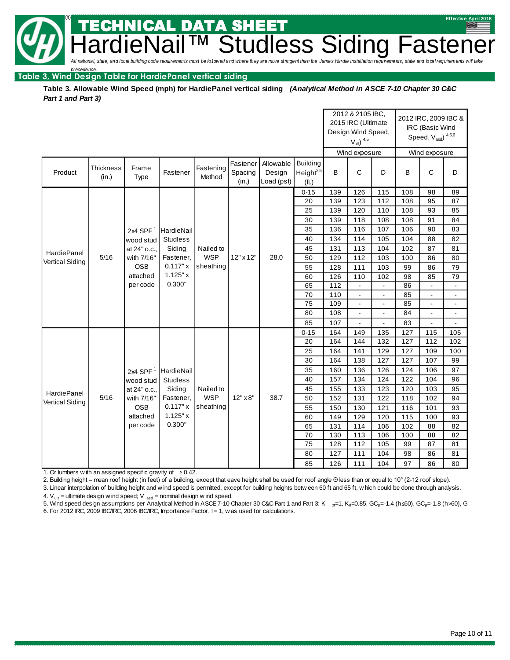building code requirements must be followed and where they are more stringent than the James Hardie installation requirements, state and local requirements will take dless Siding Fastener

**® Example 2018 Example 2018 Effective April 2018** 

*precedence.* **Table 3, Wind Design Table for HardiePanel vertical siding**

**Table 3. Allowable Wind Speed (mph) for HardiePanel vertical siding** *(Analytical Method in ASCE 7-10 Chapter 30 C&C Part 1 and Part 3)*

. DATI

|                                       |                           |               |                   |                     |                              |                                   |                                                   |            | 2012 & 2105 IBC,<br>2015 IRC (Ultimate<br>Design Wind Speed,<br>$V_{ult}$ ) $4,5$ |                                  |          | 2012 IRC, 2009 IBC &<br>IRC (Basic Wind<br>Speed, $V_{\text{asd}}$ ) $^{4,5,6}$ |                                  |
|---------------------------------------|---------------------------|---------------|-------------------|---------------------|------------------------------|-----------------------------------|---------------------------------------------------|------------|-----------------------------------------------------------------------------------|----------------------------------|----------|---------------------------------------------------------------------------------|----------------------------------|
|                                       |                           |               |                   |                     |                              |                                   |                                                   |            | Wind exposure                                                                     |                                  |          | Wind exposure                                                                   |                                  |
| Product                               | <b>Thickness</b><br>(in.) | Frame<br>Type | Fastener          | Fastening<br>Method | Fastener<br>Spacing<br>(in.) | Allowable<br>Design<br>Load (psf) | <b>Building</b><br>Height <sup>2,5</sup><br>(ft.) | B          | $\mathsf{C}$                                                                      | D                                | B        | C                                                                               | D                                |
|                                       |                           |               |                   |                     |                              |                                   | $0 - 15$                                          | 139        | 126                                                                               | 115                              | 108      | 98                                                                              | 89                               |
|                                       |                           |               |                   |                     |                              |                                   | 20                                                | 139        | 123                                                                               | 112                              | 108      | 95                                                                              | 87                               |
|                                       |                           |               |                   |                     |                              |                                   | 25                                                | 139        | 120                                                                               | 110                              | 108      | 93                                                                              | 85                               |
|                                       |                           |               |                   |                     |                              |                                   | 30                                                | 139        | 118                                                                               | 108                              | 108      | 91                                                                              | 84                               |
|                                       |                           | 2x4 SPF $1$   | HardieNail        |                     |                              |                                   | 35                                                | 136        | 116                                                                               | 107                              | 106      | 90                                                                              | 83                               |
|                                       |                           | wood stud     | <b>Studless</b>   |                     |                              |                                   | 40                                                | 134        | 114                                                                               | 105                              | 104      | 88                                                                              | 82                               |
| <b>HardiePanel</b>                    |                           | at 24" o.c.,  | Siding            | Nailed to           |                              |                                   | 45                                                | 131        | 113                                                                               | 104                              | 102      | 87                                                                              | 81                               |
| Vertical Siding                       | 5/16                      | with 7/16"    | Fastener,         | <b>WSP</b>          | $12" \times 12"$             | 28.0                              | 50                                                | 129        | 112                                                                               | 103                              | 100      | 86                                                                              | 80                               |
|                                       |                           | <b>OSB</b>    | 0.117"x           | sheathing           |                              |                                   | 55                                                | 128        | 111                                                                               | 103                              | 99       | 86                                                                              | 79                               |
|                                       |                           | attached      | 1.125"x<br>0.300" |                     |                              |                                   | 60                                                | 126        | 110                                                                               | 102                              | 98       | 85                                                                              | 79                               |
|                                       |                           | per code      |                   |                     |                              |                                   | 65                                                | 112        | $\mathbf{L}$                                                                      | $\mathbf{L}$                     | 86       | $\overline{\phantom{a}}$                                                        | $\overline{\phantom{a}}$         |
|                                       |                           |               |                   |                     |                              |                                   | 70<br>75                                          | 110<br>109 | $\blacksquare$                                                                    | $\blacksquare$<br>$\blacksquare$ | 85<br>85 | $\blacksquare$<br>$\blacksquare$                                                | $\blacksquare$<br>$\blacksquare$ |
|                                       |                           |               |                   |                     |                              |                                   | 80                                                | 108        | $\blacksquare$<br>$\blacksquare$                                                  | $\blacksquare$                   | 84       | $\blacksquare$                                                                  | $\blacksquare$                   |
|                                       |                           |               |                   |                     |                              |                                   | 85                                                | 107        | $\blacksquare$                                                                    |                                  | 83       | $\blacksquare$                                                                  | $\blacksquare$                   |
|                                       |                           |               |                   |                     |                              |                                   | $0 - 15$                                          | 164        | 149                                                                               | 135                              | 127      | 115                                                                             | 105                              |
|                                       |                           |               |                   |                     |                              |                                   | 20                                                | 164        | 144                                                                               | 132                              | 127      | 112                                                                             | 102                              |
|                                       |                           |               |                   |                     |                              |                                   | 25                                                | 164        | 141                                                                               | 129                              | 127      | 109                                                                             | 100                              |
|                                       |                           |               |                   |                     |                              |                                   | 30                                                | 164        | 138                                                                               | 127                              | 127      | 107                                                                             | 99                               |
|                                       |                           | 2x4 SPF $1$   | HardieNail        |                     |                              |                                   | 35                                                | 160        | 136                                                                               | 126                              | 124      | 106                                                                             | 97                               |
|                                       |                           | wood stud     | <b>Studless</b>   |                     |                              |                                   | 40                                                | 157        | 134                                                                               | 124                              | 122      | 104                                                                             | 96                               |
|                                       |                           | at 24" o.c.,  | Siding            | Nailed to           |                              |                                   | 45                                                | 155        | 133                                                                               | 123                              | 120      | 103                                                                             | 95                               |
| HardiePanel<br><b>Vertical Siding</b> | 5/16                      | with 7/16"    | Fastener,         | <b>WSP</b>          | $12" \times 8"$              | 38.7                              | 50                                                | 152        | 131                                                                               | 122                              | 118      | 102                                                                             | 94                               |
|                                       |                           | <b>OSB</b>    | 0.117"x           | sheathing           |                              |                                   | 55                                                | 150        | 130                                                                               | 121                              | 116      | 101                                                                             | 93                               |
|                                       |                           | attached      | 1.125"x           |                     |                              |                                   | 60                                                | 149        | 129                                                                               | 120                              | 115      | 100                                                                             | 93                               |
|                                       |                           | per code      | 0.300"            |                     |                              |                                   | 65                                                | 131        | 114                                                                               | 106                              | 102      | 88                                                                              | 82                               |
|                                       |                           |               |                   |                     |                              |                                   | 70                                                | 130        | 113                                                                               | 106                              | 100      | 88                                                                              | 82                               |
|                                       |                           |               |                   |                     |                              |                                   | 75                                                | 128        | 112                                                                               | 105                              | 99       | 87                                                                              | 81                               |
|                                       |                           |               |                   |                     |                              | 80                                | 127                                               | 111        | 104                                                                               | 98                               | 86       | 81                                                                              |                                  |
|                                       |                           |               |                   |                     |                              |                                   | 85                                                | 126        | 111                                                                               | 104                              | 97       | 86                                                                              | 80                               |

1. Or lumbers with an assigned specific gravity of  $≥$  0.42.

2. Building height = mean roof height (in feet) of a building, except that eave height shall be used for roof angle Θ less than or equal to 10° (2-12 roof slope).

3. Linear interpolation of building height and wind speed is permitted, except for building heights between 60 ft and 65 ft, which could be done through analysis.

4.  $V_{ult}$  = ultimate design wind speed;  $V_{ast}$  = nominal design wind speed.

5. Wind speed design assumptions per Analytical Method in ASCE 7-10 Chapter 30 C&C Part 1 and Part 3: K  $_{\text{z}}=1$ , K<sub>d</sub>=0.85, GC<sub>p</sub>=-1.4 (h≤60), GC<sub>p</sub>=-1.8 (h>60), G 6. For 2012 IRC, 2009 IBC/IRC, 2006 IBC/IRC, Importance Factor, I = 1, w as used for calculations.